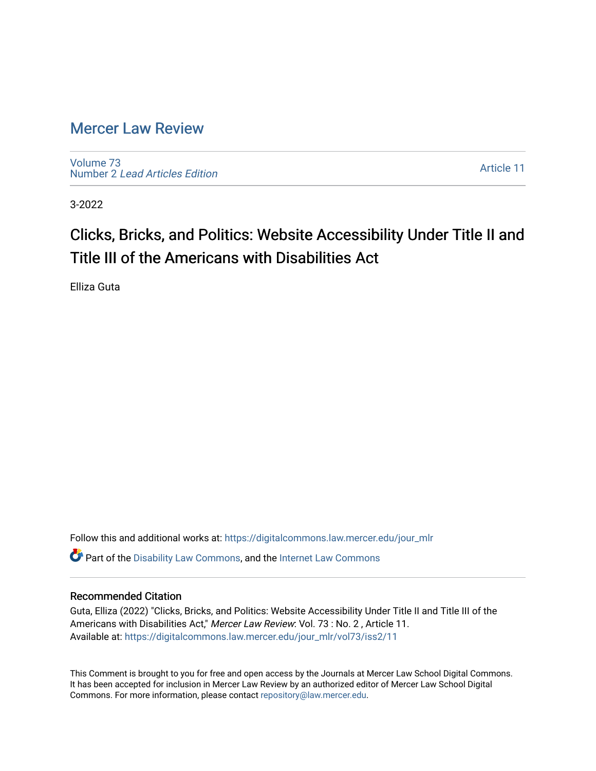# [Mercer Law Review](https://digitalcommons.law.mercer.edu/jour_mlr)

[Volume 73](https://digitalcommons.law.mercer.edu/jour_mlr/vol73) Number 2 [Lead Articles Edition](https://digitalcommons.law.mercer.edu/jour_mlr/vol73/iss2)

[Article 11](https://digitalcommons.law.mercer.edu/jour_mlr/vol73/iss2/11) 

3-2022

# Clicks, Bricks, and Politics: Website Accessibility Under Title II and Title III of the Americans with Disabilities Act

Elliza Guta

Follow this and additional works at: [https://digitalcommons.law.mercer.edu/jour\\_mlr](https://digitalcommons.law.mercer.edu/jour_mlr?utm_source=digitalcommons.law.mercer.edu%2Fjour_mlr%2Fvol73%2Fiss2%2F11&utm_medium=PDF&utm_campaign=PDFCoverPages) Part of the [Disability Law Commons](http://network.bepress.com/hgg/discipline/1074?utm_source=digitalcommons.law.mercer.edu%2Fjour_mlr%2Fvol73%2Fiss2%2F11&utm_medium=PDF&utm_campaign=PDFCoverPages), and the [Internet Law Commons](http://network.bepress.com/hgg/discipline/892?utm_source=digitalcommons.law.mercer.edu%2Fjour_mlr%2Fvol73%2Fiss2%2F11&utm_medium=PDF&utm_campaign=PDFCoverPages) 

# Recommended Citation

Guta, Elliza (2022) "Clicks, Bricks, and Politics: Website Accessibility Under Title II and Title III of the Americans with Disabilities Act," Mercer Law Review: Vol. 73 : No. 2 , Article 11. Available at: [https://digitalcommons.law.mercer.edu/jour\\_mlr/vol73/iss2/11](https://digitalcommons.law.mercer.edu/jour_mlr/vol73/iss2/11?utm_source=digitalcommons.law.mercer.edu%2Fjour_mlr%2Fvol73%2Fiss2%2F11&utm_medium=PDF&utm_campaign=PDFCoverPages) 

This Comment is brought to you for free and open access by the Journals at Mercer Law School Digital Commons. It has been accepted for inclusion in Mercer Law Review by an authorized editor of Mercer Law School Digital Commons. For more information, please contact [repository@law.mercer.edu.](mailto:repository@law.mercer.edu)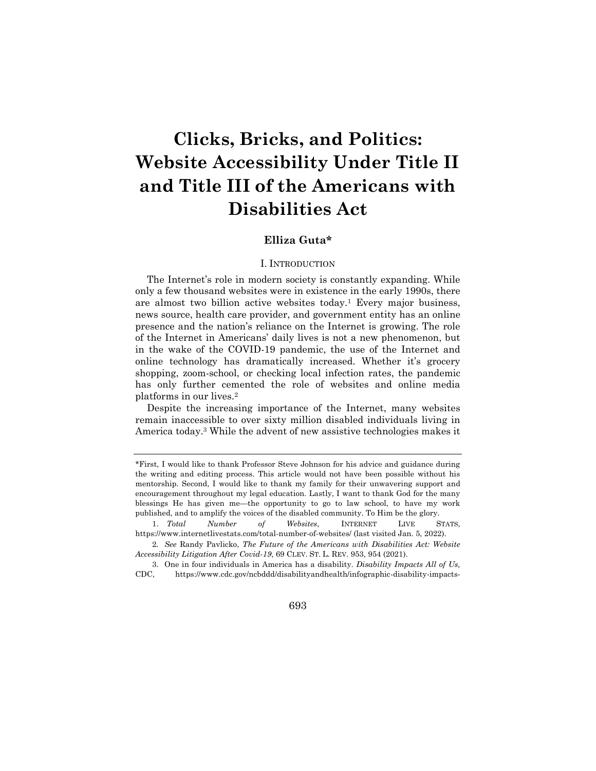# **Clicks, Bricks, and Politics: Website Accessibility Under Title II and Title III of the Americans with Disabilities Act**

## **Elliza Guta\***

#### I. INTRODUCTION

The Internet's role in modern society is constantly expanding. While only a few thousand websites were in existence in the early 1990s, there are almost two billion active websites today.<sup>1</sup> Every major business, news source, health care provider, and government entity has an online presence and the nation's reliance on the Internet is growing. The role of the Internet in Americans' daily lives is not a new phenomenon, but in the wake of the COVID-19 pandemic, the use of the Internet and online technology has dramatically increased. Whether it's grocery shopping, zoom-school, or checking local infection rates, the pandemic has only further cemented the role of websites and online media platforms in our lives.<sup>2</sup>

Despite the increasing importance of the Internet, many websites remain inaccessible to over sixty million disabled individuals living in America today. <sup>3</sup> While the advent of new assistive technologies makes it

#### 693

<sup>\*</sup>First, I would like to thank Professor Steve Johnson for his advice and guidance during the writing and editing process. This article would not have been possible without his mentorship. Second, I would like to thank my family for their unwavering support and encouragement throughout my legal education. Lastly, I want to thank God for the many blessings He has given me—the opportunity to go to law school, to have my work published, and to amplify the voices of the disabled community. To Him be the glory.

<sup>1.</sup> *Total Number of Websites*, INTERNET LIVE STATS, https://www.internetlivestats.com/total-number-of-websites/ (last visited Jan. 5, 2022).

<sup>2</sup>*. See* Randy Pavlicko, *The Future of the Americans with Disabilities Act: Website Accessibility Litigation After Covid-19*, 69 CLEV. ST. L. REV. 953, 954 (2021).

<sup>3.</sup> One in four individuals in America has a disability. *Disability Impacts All of Us,* CDC, https://www.cdc.gov/ncbddd/disabilityandhealth/infographic-disability-impacts-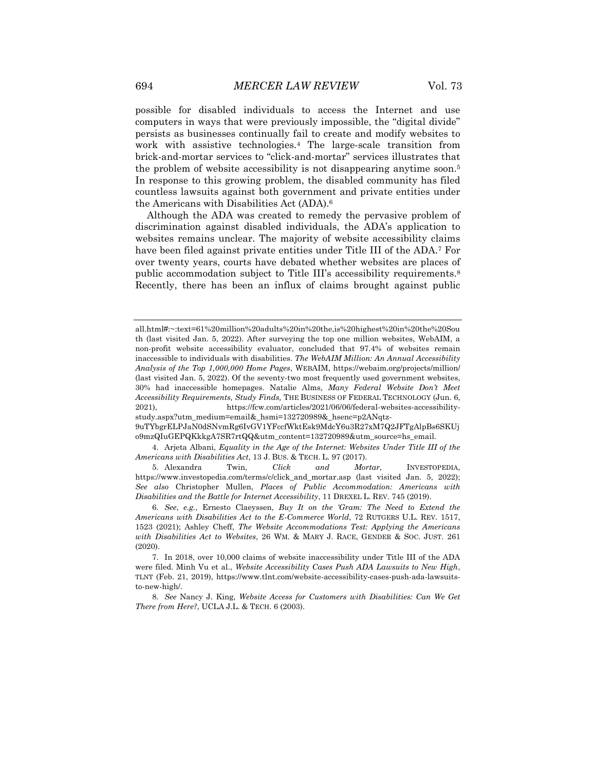possible for disabled individuals to access the Internet and use computers in ways that were previously impossible, the "digital divide" persists as businesses continually fail to create and modify websites to work with assistive technologies.<sup>4</sup> The large-scale transition from brick-and-mortar services to "click-and-mortar" services illustrates that the problem of website accessibility is not disappearing anytime soon.<sup>5</sup> In response to this growing problem, the disabled community has filed countless lawsuits against both government and private entities under the Americans with Disabilities Act (ADA).<sup>6</sup>

Although the ADA was created to remedy the pervasive problem of discrimination against disabled individuals, the ADA's application to websites remains unclear. The majority of website accessibility claims have been filed against private entities under Title III of the ADA.<sup>7</sup> For over twenty years, courts have debated whether websites are places of public accommodation subject to Title III's accessibility requirements.<sup>8</sup> Recently, there has been an influx of claims brought against public

5. Alexandra Twin, *Click and Mortar*, INVESTOPEDIA, https://www.investopedia.com/terms/c/click\_and\_mortar.asp (last visited Jan. 5, 2022); *See also* Christopher Mullen, *Places of Public Accommodation: Americans with Disabilities and the Battle for Internet Accessibility*, 11 DREXEL L. REV. 745 (2019).

6*. See*, *e.g.*, Ernesto Claeyssen, *Buy It on the 'Gram: The Need to Extend the Americans with Disabilities Act to the E-Commerce World*, 72 RUTGERS U.L. REV. 1517, 1523 (2021); Ashley Cheff, *The Website Accommodations Test: Applying the Americans with Disabilities Act to Websites*, 26 WM. & MARY J. RACE, GENDER & SOC. JUST. 261 (2020).

all.html#:~:text=61%20million%20adults%20in%20the,is%20highest%20in%20the%20Sou th (last visited Jan. 5, 2022). After surveying the top one million websites, WebAIM, a non-profit website accessibility evaluator, concluded that 97.4% of websites remain inaccessible to individuals with disabilities. *The WebAIM Million: An Annual Accessibility Analysis of the Top 1,000,000 Home Pages*, WEBAIM, https://webaim.org/projects/million/ (last visited Jan. 5, 2022). Of the seventy-two most frequently used government websites, 30% had inaccessible homepages. Natalie Alms, *Many Federal Website Don't Meet Accessibility Requirements, Study Finds,* THE BUSINESS OF FEDERAL TECHNOLOGY (Jun. 6, 2021), https://fcw.com/articles/2021/06/06/federal-websites-accessibilitystudy.aspx?utm\_medium=email&\_hsmi=132720989&\_hsenc=p2ANqtz-

<sup>9</sup>uTYbgrELPJaN0dSNvmRg6IvGV1YFccfWktEsk9MdcY6u3R27xM7Q2JFTgAlpBs6SKUj o9mzQIuGEPQKkkgA7SR7rtQQ&utm\_content=132720989&utm\_source=hs\_email.

<sup>4.</sup> Arjeta Albani, *Equality in the Age of the Internet: Websites Under Title III of the Americans with Disabilities Act*, 13 J. BUS. & TECH. L. 97 (2017).

<sup>7.</sup> In 2018, over 10,000 claims of website inaccessibility under Title III of the ADA were filed. Minh Vu et al., *Website Accessibility Cases Push ADA Lawsuits to New High*, TLNT (Feb. 21, 2019), https://www.tlnt.com/website-accessibility-cases-push-ada-lawsuitsto-new-high/.

<sup>8</sup>*. See* Nancy J. King, *Website Access for Customers with Disabilities: Can We Get There from Here?*, UCLA J.L. & TECH. 6 (2003).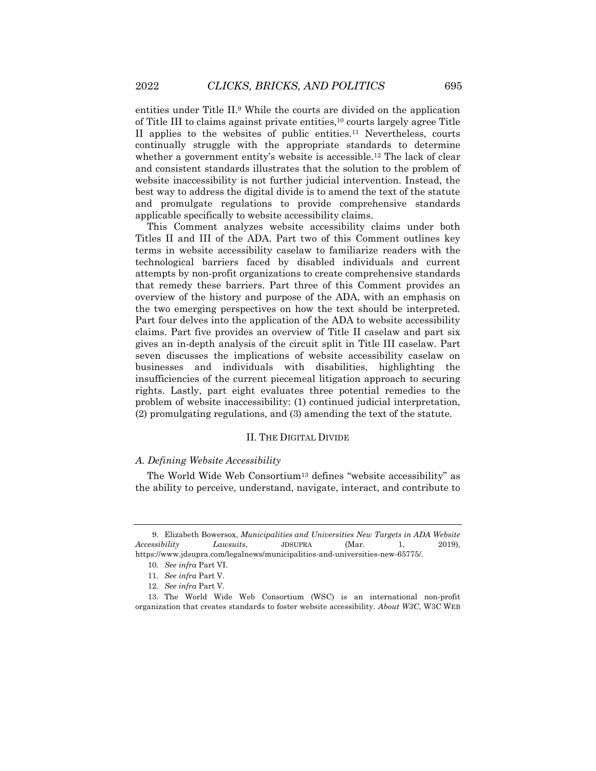entities under Title II.<sup>9</sup> While the courts are divided on the application of Title III to claims against private entities,<sup>10</sup> courts largely agree Title II applies to the websites of public entities.<sup>11</sup> Nevertheless, courts continually struggle with the appropriate standards to determine whether a government entity's website is accessible.<sup>12</sup> The lack of clear and consistent standards illustrates that the solution to the problem of website inaccessibility is not further judicial intervention. Instead, the best way to address the digital divide is to amend the text of the statute and promulgate regulations to provide comprehensive standards applicable specifically to website accessibility claims.

This Comment analyzes website accessibility claims under both Titles II and III of the ADA. Part two of this Comment outlines key terms in website accessibility caselaw to familiarize readers with the technological barriers faced by disabled individuals and current attempts by non-profit organizations to create comprehensive standards that remedy these barriers. Part three of this Comment provides an overview of the history and purpose of the ADA, with an emphasis on the two emerging perspectives on how the text should be interpreted. Part four delves into the application of the ADA to website accessibility claims. Part five provides an overview of Title II caselaw and part six gives an in-depth analysis of the circuit split in Title III caselaw. Part seven discusses the implications of website accessibility caselaw on businesses and individuals with disabilities, highlighting the insufficiencies of the current piecemeal litigation approach to securing rights. Lastly, part eight evaluates three potential remedies to the problem of website inaccessibility: (1) continued judicial interpretation, (2) promulgating regulations, and (3) amending the text of the statute.

#### II. THE DIGITAL DIVIDE

#### *A. Defining Website Accessibility*

The World Wide Web Consortium<sup>13</sup> defines "website accessibility" as the ability to perceive, understand, navigate, interact, and contribute to

<sup>9.</sup> Elizabeth Bowersox, *Municipalities and Universities New Targets in ADA Website Accessibility Lawsuits*, JDSUPRA (Mar. 1, 2019), https://www.jdsupra.com/legalnews/municipalities-and-universities-new-65775/.

<sup>10</sup>*. See infra* Part VI.

<sup>11</sup>*. See infra* Part V.

<sup>12</sup>*. See infra* Part V.

<sup>13.</sup> The World Wide Web Consortium (WSC) is an international non-profit organization that creates standards to foster website accessibility. *About W3C*, W3C WEB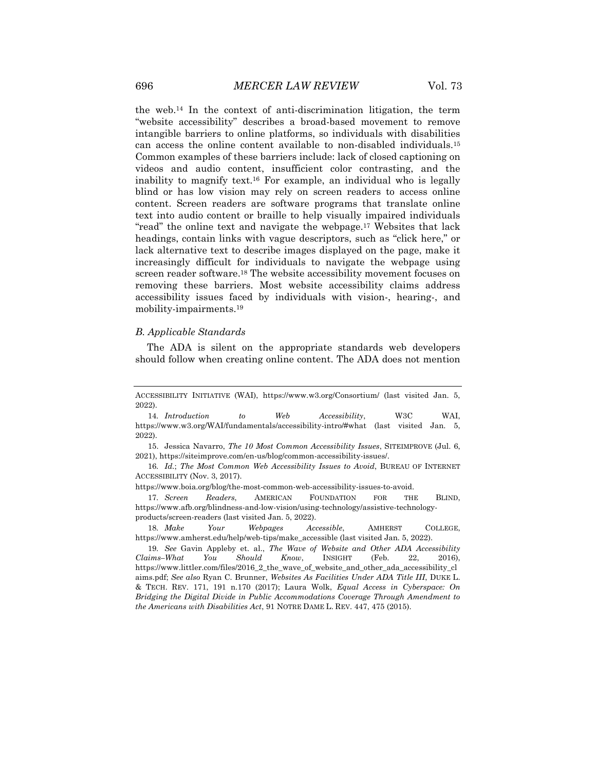the web.<sup>14</sup> In the context of anti-discrimination litigation, the term "website accessibility" describes a broad-based movement to remove intangible barriers to online platforms, so individuals with disabilities can access the online content available to non-disabled individuals.<sup>15</sup> Common examples of these barriers include: lack of closed captioning on videos and audio content, insufficient color contrasting, and the inability to magnify text.<sup>16</sup> For example, an individual who is legally blind or has low vision may rely on screen readers to access online content. Screen readers are software programs that translate online text into audio content or braille to help visually impaired individuals "read" the online text and navigate the webpage.<sup>17</sup> Websites that lack headings, contain links with vague descriptors, such as "click here," or lack alternative text to describe images displayed on the page, make it increasingly difficult for individuals to navigate the webpage using screen reader software. <sup>18</sup> The website accessibility movement focuses on removing these barriers. Most website accessibility claims address accessibility issues faced by individuals with vision-, hearing-, and mobility-impairments.<sup>19</sup>

#### *B. Applicable Standards*

The ADA is silent on the appropriate standards web developers should follow when creating online content. The ADA does not mention

15. Jessica Navarro, *The 10 Most Common Accessibility Issues*, SITEIMPROVE (Jul. 6, 2021), https://siteimprove.com/en-us/blog/common-accessibility-issues/.

https://www.boia.org/blog/the-most-common-web-accessibility-issues-to-avoid.

17*. Screen Readers*, AMERICAN FOUNDATION FOR THE BLIND, https://www.afb.org/blindness-and-low-vision/using-technology/assistive-technologyproducts/screen-readers (last visited Jan. 5, 2022).

18*. Make Your Webpages Accessible*, AMHERST COLLEGE, https://www.amherst.edu/help/web-tips/make\_accessible (last visited Jan. 5, 2022).

ACCESSIBILITY INITIATIVE (WAI), https://www.w3.org/Consortium/ (last visited Jan. 5, 2022).

<sup>14</sup>*. Introduction to Web Accessibility*, W3C WAI, https://www.w3.org/WAI/fundamentals/accessibility-intro/#what (last visited Jan. 5, 2022).

<sup>16</sup>*. Id.*; *The Most Common Web Accessibility Issues to Avoid*, BUREAU OF INTERNET ACCESSIBILITY (Nov. 3, 2017).

<sup>19</sup>*. See* Gavin Appleby et. al., *The Wave of Website and Other ADA Accessibility Claims–What You Should Know*, INSIGHT (Feb. 22, 2016), https://www.littler.com/files/2016\_2\_the\_wave\_of\_website\_and\_other\_ada\_accessibility\_cl aims.pdf; *See also* Ryan C. Brunner, *Websites As Facilities Under ADA Title III*, DUKE L. & TECH. REV. 171, 191 n.170 (2017); Laura Wolk, *Equal Access in Cyberspace: On Bridging the Digital Divide in Public Accommodations Coverage Through Amendment to the Americans with Disabilities Act*, 91 NOTRE DAME L. REV. 447, 475 (2015).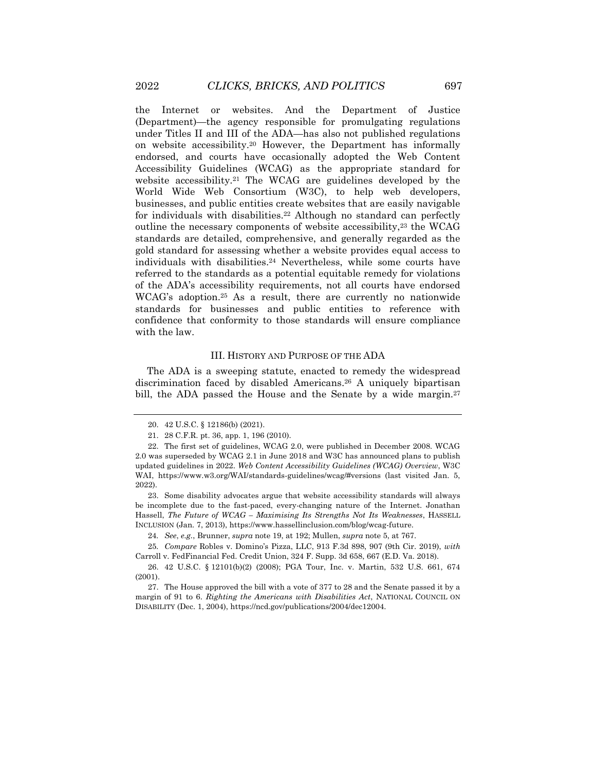the Internet or websites. And the Department of Justice (Department)—the agency responsible for promulgating regulations under Titles II and III of the ADA—has also not published regulations on website accessibility.<sup>20</sup> However, the Department has informally endorsed, and courts have occasionally adopted the Web Content Accessibility Guidelines (WCAG) as the appropriate standard for website accessibility.<sup>21</sup> The WCAG are guidelines developed by the World Wide Web Consortium (W3C), to help web developers, businesses, and public entities create websites that are easily navigable for individuals with disabilities.<sup>22</sup> Although no standard can perfectly outline the necessary components of website accessibility,<sup>23</sup> the WCAG standards are detailed, comprehensive, and generally regarded as the gold standard for assessing whether a website provides equal access to individuals with disabilities.<sup>24</sup> Nevertheless, while some courts have referred to the standards as a potential equitable remedy for violations of the ADA's accessibility requirements, not all courts have endorsed WCAG's adoption.<sup>25</sup> As a result, there are currently no nationwide standards for businesses and public entities to reference with confidence that conformity to those standards will ensure compliance with the law.

#### III. HISTORY AND PURPOSE OF THE ADA

The ADA is a sweeping statute, enacted to remedy the widespread discrimination faced by disabled Americans.<sup>26</sup> A uniquely bipartisan bill, the ADA passed the House and the Senate by a wide margin.<sup>27</sup>

<sup>20.</sup> 42 U.S.C. § 12186(b) (2021).

<sup>21.</sup> 28 C.F.R. pt. 36, app. 1, 196 (2010).

<sup>22.</sup> The first set of guidelines, WCAG 2.0, were published in December 2008. WCAG 2.0 was superseded by WCAG 2.1 in June 2018 and W3C has announced plans to publish updated guidelines in 2022. *Web Content Accessibility Guidelines (WCAG) Overview*, W3C WAI, https://www.w3.org/WAI/standards-guidelines/wcag/#versions (last visited Jan. 5, 2022).

<sup>23.</sup> Some disability advocates argue that website accessibility standards will always be incomplete due to the fast-paced, every-changing nature of the Internet. Jonathan Hassell, *The Future of WCAG – Maximising Its Strengths Not Its Weaknesses*, HASSELL INCLUSION (Jan. 7, 2013), https://www.hassellinclusion.com/blog/wcag-future.

<sup>24</sup>*. See*, *e.g.*, Brunner, *supra* note 19, at 192; Mullen, *supra* note 5, at 767.

<sup>25</sup>*. Compare* Robles v. Domino's Pizza, LLC, 913 F.3d 898, 907 (9th Cir. 2019), *with* Carroll v. FedFinancial Fed. Credit Union, 324 F. Supp. 3d 658, 667 (E.D. Va. 2018).

<sup>26.</sup> 42 U.S.C. § 12101(b)(2) (2008); PGA Tour, Inc. v. Martin, 532 U.S. 661, 674 (2001).

<sup>27.</sup> The House approved the bill with a vote of 377 to 28 and the Senate passed it by a margin of 91 to 6. *Righting the Americans with Disabilities Act*, NATIONAL COUNCIL ON DISABILITY (Dec. 1, 2004), https://ncd.gov/publications/2004/dec12004.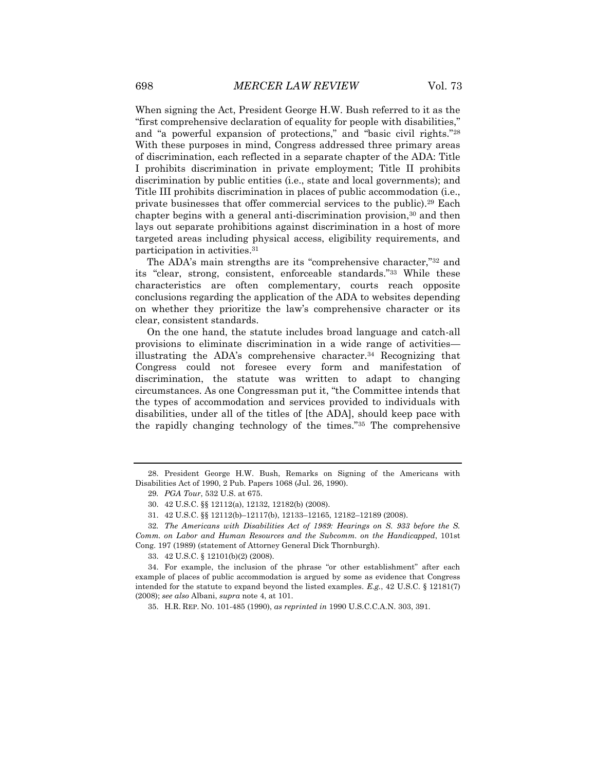When signing the Act, President George H.W. Bush referred to it as the "first comprehensive declaration of equality for people with disabilities," and "a powerful expansion of protections," and "basic civil rights."<sup>28</sup> With these purposes in mind, Congress addressed three primary areas of discrimination, each reflected in a separate chapter of the ADA: Title I prohibits discrimination in private employment; Title II prohibits discrimination by public entities (i.e., state and local governments); and Title III prohibits discrimination in places of public accommodation (i.e., private businesses that offer commercial services to the public).<sup>29</sup> Each chapter begins with a general anti-discrimination provision,<sup>30</sup> and then lays out separate prohibitions against discrimination in a host of more targeted areas including physical access, eligibility requirements, and participation in activities.<sup>31</sup>

The ADA's main strengths are its "comprehensive character,"<sup>32</sup> and its "clear, strong, consistent, enforceable standards."<sup>33</sup> While these characteristics are often complementary, courts reach opposite conclusions regarding the application of the ADA to websites depending on whether they prioritize the law's comprehensive character or its clear, consistent standards.

On the one hand, the statute includes broad language and catch-all provisions to eliminate discrimination in a wide range of activities illustrating the ADA's comprehensive character.<sup>34</sup> Recognizing that Congress could not foresee every form and manifestation of discrimination, the statute was written to adapt to changing circumstances. As one Congressman put it, "the Committee intends that the types of accommodation and services provided to individuals with disabilities, under all of the titles of [the ADA], should keep pace with the rapidly changing technology of the times."<sup>35</sup> The comprehensive

<sup>28.</sup> President George H.W. Bush, Remarks on Signing of the Americans with Disabilities Act of 1990, 2 Pub. Papers 1068 (Jul. 26, 1990).

<sup>29</sup>*. PGA Tour*, 532 U.S. at 675.

<sup>30.</sup> 42 U.S.C. §§ 12112(a), 12132, 12182(b) (2008).

<sup>31.</sup> 42 U.S.C. §§ 12112(b)–12117(b), 12133–12165, 12182–12189 (2008).

<sup>32</sup>*. The Americans with Disabilities Act of 1989: Hearings on S. 933 before the S. Comm. on Labor and Human Resources and the Subcomm. on the Handicapped*, 101st Cong. 197 (1989) (statement of Attorney General Dick Thornburgh).

<sup>33.</sup> 42 U.S.C. § 12101(b)(2) (2008).

<sup>34.</sup> For example, the inclusion of the phrase "or other establishment" after each example of places of public accommodation is argued by some as evidence that Congress intended for the statute to expand beyond the listed examples. *E.g.*, 42 U.S.C. § 12181(7) (2008); *see also* Albani, *supra* note 4, at 101.

<sup>35.</sup> H.R. REP. NO. 101-485 (1990), *as reprinted in* 1990 U.S.C.C.A.N. 303, 391.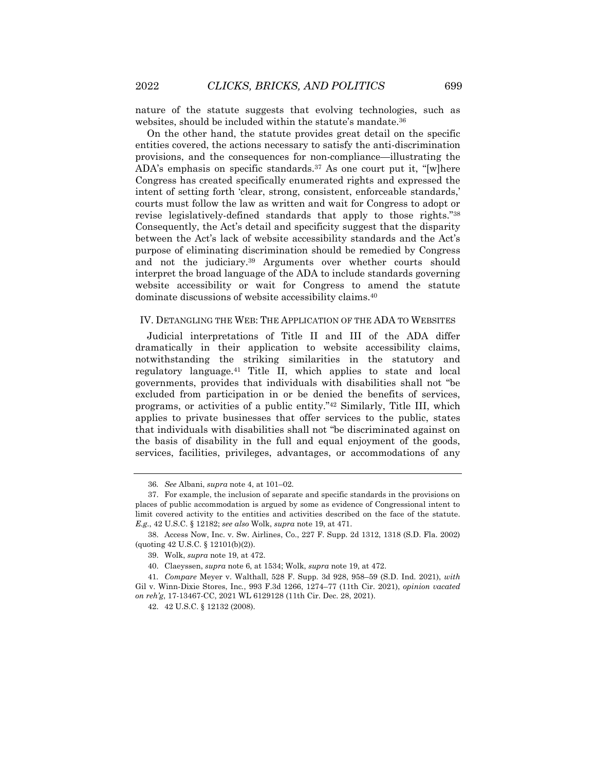nature of the statute suggests that evolving technologies, such as websites, should be included within the statute's mandate. 36

On the other hand, the statute provides great detail on the specific entities covered, the actions necessary to satisfy the anti-discrimination provisions, and the consequences for non-compliance—illustrating the ADA's emphasis on specific standards.<sup>37</sup> As one court put it, "[w]here Congress has created specifically enumerated rights and expressed the intent of setting forth 'clear, strong, consistent, enforceable standards,' courts must follow the law as written and wait for Congress to adopt or revise legislatively-defined standards that apply to those rights."<sup>38</sup> Consequently, the Act's detail and specificity suggest that the disparity between the Act's lack of website accessibility standards and the Act's purpose of eliminating discrimination should be remedied by Congress and not the judiciary. <sup>39</sup> Arguments over whether courts should interpret the broad language of the ADA to include standards governing website accessibility or wait for Congress to amend the statute dominate discussions of website accessibility claims.<sup>40</sup>

#### IV. DETANGLING THE WEB: THE APPLICATION OF THE ADA TO WEBSITES

Judicial interpretations of Title II and III of the ADA differ dramatically in their application to website accessibility claims, notwithstanding the striking similarities in the statutory and regulatory language.<sup>41</sup> Title II, which applies to state and local governments, provides that individuals with disabilities shall not "be excluded from participation in or be denied the benefits of services, programs, or activities of a public entity."<sup>42</sup> Similarly, Title III, which applies to private businesses that offer services to the public, states that individuals with disabilities shall not "be discriminated against on the basis of disability in the full and equal enjoyment of the goods, services, facilities, privileges, advantages, or accommodations of any

<sup>36</sup>*. See* Albani, *supra* note 4, at 101–02.

<sup>37.</sup> For example, the inclusion of separate and specific standards in the provisions on places of public accommodation is argued by some as evidence of Congressional intent to limit covered activity to the entities and activities described on the face of the statute. *E.g.*, 42 U.S.C. § 12182; *see also* Wolk, *supra* note 19, at 471.

<sup>38.</sup> Access Now, Inc. v. Sw. Airlines, Co., 227 F. Supp. 2d 1312, 1318 (S.D. Fla. 2002) (quoting 42 U.S.C. § 12101(b)(2)).

<sup>39.</sup> Wolk, *supra* note 19, at 472.

<sup>40.</sup> Claeyssen, *supra* note 6, at 1534; Wolk, *supra* note 19, at 472.

<sup>41</sup>*. Compare* Meyer v. Walthall, 528 F. Supp. 3d 928, 958–59 (S.D. Ind. 2021), *with* Gil v. Winn-Dixie Stores, Inc*.*, 993 F.3d 1266, 1274–77 (11th Cir. 2021), *opinion vacated on reh'g*, 17-13467-CC, 2021 WL 6129128 (11th Cir. Dec. 28, 2021).

<sup>42.</sup> 42 U.S.C. § 12132 (2008).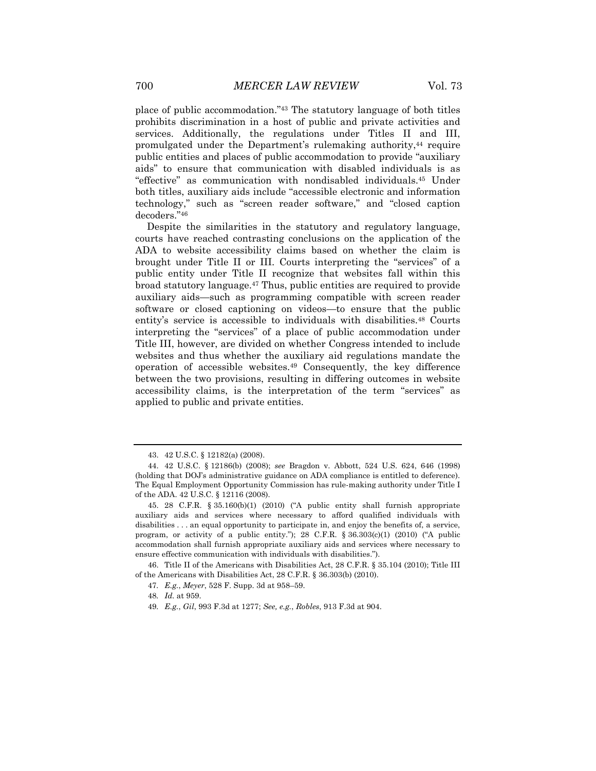place of public accommodation."<sup>43</sup> The statutory language of both titles prohibits discrimination in a host of public and private activities and services. Additionally, the regulations under Titles II and III, promulgated under the Department's rulemaking authority,<sup>44</sup> require public entities and places of public accommodation to provide "auxiliary aids" to ensure that communication with disabled individuals is as "effective" as communication with nondisabled individuals.<sup>45</sup> Under both titles, auxiliary aids include "accessible electronic and information technology," such as "screen reader software," and "closed caption decoders."<sup>46</sup>

Despite the similarities in the statutory and regulatory language, courts have reached contrasting conclusions on the application of the ADA to website accessibility claims based on whether the claim is brought under Title II or III. Courts interpreting the "services" of a public entity under Title II recognize that websites fall within this broad statutory language.<sup>47</sup> Thus, public entities are required to provide auxiliary aids—such as programming compatible with screen reader software or closed captioning on videos—to ensure that the public entity's service is accessible to individuals with disabilities.<sup>48</sup> Courts interpreting the "services" of a place of public accommodation under Title III, however, are divided on whether Congress intended to include websites and thus whether the auxiliary aid regulations mandate the operation of accessible websites.<sup>49</sup> Consequently, the key difference between the two provisions, resulting in differing outcomes in website accessibility claims, is the interpretation of the term "services" as applied to public and private entities.

46. Title II of the Americans with Disabilities Act, 28 C.F.R. § 35.104 (2010); Title III of the Americans with Disabilities Act, 28 C.F.R. § 36.303(b) (2010).

<sup>43.</sup> 42 U.S.C. § 12182(a) (2008).

<sup>44.</sup> 42 U.S.C. § 12186(b) (2008); *see* Bragdon v. Abbott, 524 U.S. 624, 646 (1998) (holding that DOJ's administrative guidance on ADA compliance is entitled to deference). The Equal Employment Opportunity Commission has rule-making authority under Title I of the ADA. 42 U.S.C. § 12116 (2008).

<sup>45.</sup> 28 C.F.R. § 35.160(b)(1) (2010) ("A public entity shall furnish appropriate auxiliary aids and services where necessary to afford qualified individuals with disabilities . . . an equal opportunity to participate in, and enjoy the benefits of, a service, program, or activity of a public entity."); 28 C.F.R.  $\S 36.303(c)(1)$  (2010) ("A public accommodation shall furnish appropriate auxiliary aids and services where necessary to ensure effective communication with individuals with disabilities.").

<sup>47</sup>*. E.g.*, *Meyer*, 528 F. Supp. 3d at 958–59.

<sup>48</sup>*. Id.* at 959.

<sup>49</sup>*. E.g.*, *Gil*, 993 F.3d at 1277; *See, e.g.*, *Robles*, 913 F.3d at 904.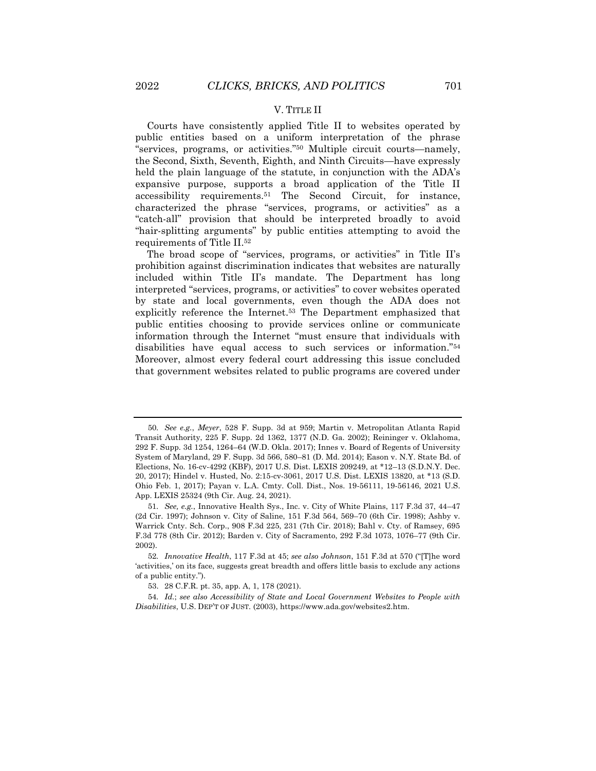#### V. TITLE II

Courts have consistently applied Title II to websites operated by public entities based on a uniform interpretation of the phrase "services, programs, or activities."<sup>50</sup> Multiple circuit courts—namely, the Second, Sixth, Seventh, Eighth, and Ninth Circuits—have expressly held the plain language of the statute, in conjunction with the ADA's expansive purpose, supports a broad application of the Title II accessibility requirements.<sup>51</sup> The Second Circuit, for instance, characterized the phrase "services, programs, or activities" as a "catch-all" provision that should be interpreted broadly to avoid "hair-splitting arguments" by public entities attempting to avoid the requirements of Title II.<sup>52</sup>

The broad scope of "services, programs, or activities" in Title II's prohibition against discrimination indicates that websites are naturally included within Title II's mandate. The Department has long interpreted "services, programs, or activities" to cover websites operated by state and local governments, even though the ADA does not explicitly reference the Internet.<sup>53</sup> The Department emphasized that public entities choosing to provide services online or communicate information through the Internet "must ensure that individuals with disabilities have equal access to such services or information."<sup>54</sup> Moreover, almost every federal court addressing this issue concluded that government websites related to public programs are covered under

<sup>50</sup>*. See e.g.*, *Meyer*, 528 F. Supp. 3d at 959; Martin v. Metropolitan Atlanta Rapid Transit Authority, 225 F. Supp. 2d 1362, 1377 (N.D. Ga. 2002); Reininger v. Oklahoma, 292 F. Supp. 3d 1254, 1264–64 (W.D. Okla. 2017); Innes v. Board of Regents of University System of Maryland, 29 F. Supp. 3d 566, 580–81 (D. Md. 2014); Eason v. N.Y. State Bd. of Elections, No. 16-cv-4292 (KBF), 2017 U.S. Dist. LEXIS 209249, at \*12–13 (S.D.N.Y. Dec. 20, 2017); Hindel v. Husted, No. 2:15-cv-3061, 2017 U.S. Dist. LEXIS 13820, at \*13 (S.D. Ohio Feb. 1, 2017); Payan v. L.A. Cmty. Coll. Dist., Nos. 19-56111, 19-56146, 2021 U.S. App. LEXIS 25324 (9th Cir. Aug. 24, 2021).

<sup>51</sup>*. See, e.g.*, Innovative Health Sys., Inc. v. City of White Plains, 117 F.3d 37, 44–47 (2d Cir. 1997); Johnson v. City of Saline, 151 F.3d 564, 569–70 (6th Cir. 1998); Ashby v. Warrick Cnty. Sch. Corp., 908 F.3d 225, 231 (7th Cir. 2018); Bahl v. Cty. of Ramsey, 695 F.3d 778 (8th Cir. 2012); Barden v. City of Sacramento, 292 F.3d 1073, 1076–77 (9th Cir. 2002).

<sup>52</sup>*. Innovative Health*, 117 F.3d at 45; *see also Johnson*, 151 F.3d at 570 ("[T]he word 'activities,' on its face, suggests great breadth and offers little basis to exclude any actions of a public entity.").

<sup>53.</sup> 28 C.F.R. pt. 35, app. A, 1, 178 (2021).

<sup>54</sup>*. Id.*; *see also Accessibility of State and Local Government Websites to People with Disabilities*, U.S. DEP'T OF JUST. (2003), https://www.ada.gov/websites2.htm.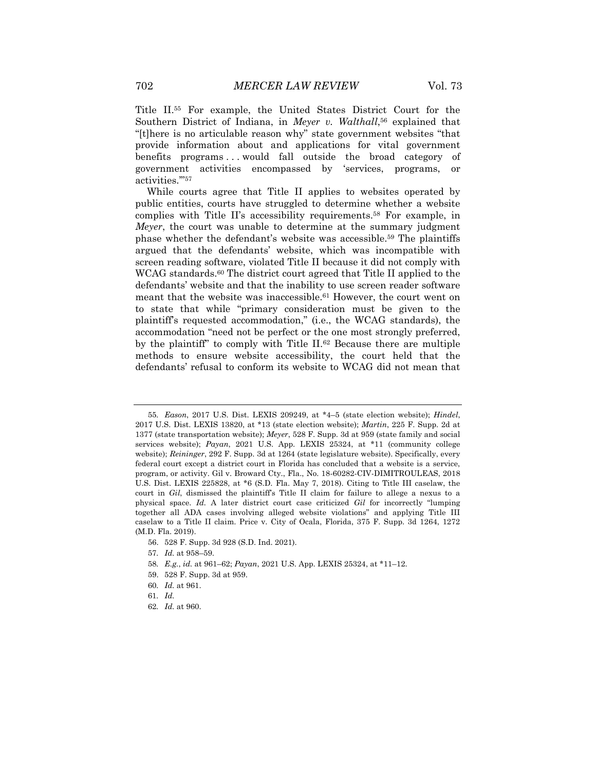Title II.<sup>55</sup> For example, the United States District Court for the Southern District of Indiana, in *Meyer v. Walthall*, <sup>56</sup> explained that "[t]here is no articulable reason why" state government websites "that provide information about and applications for vital government benefits programs . . . would fall outside the broad category of government activities encompassed by 'services, programs, or activities.'"<sup>57</sup>

While courts agree that Title II applies to websites operated by public entities, courts have struggled to determine whether a website complies with Title II's accessibility requirements.<sup>58</sup> For example, in *Meyer*, the court was unable to determine at the summary judgment phase whether the defendant's website was accessible.<sup>59</sup> The plaintiffs argued that the defendants' website, which was incompatible with screen reading software, violated Title II because it did not comply with WCAG standards.<sup>60</sup> The district court agreed that Title II applied to the defendants' website and that the inability to use screen reader software meant that the website was inaccessible.<sup>61</sup> However, the court went on to state that while "primary consideration must be given to the plaintiff's requested accommodation," (i.e., the WCAG standards), the accommodation "need not be perfect or the one most strongly preferred, by the plaintiff" to comply with Title II.<sup>62</sup> Because there are multiple methods to ensure website accessibility, the court held that the defendants' refusal to conform its website to WCAG did not mean that

56. 528 F. Supp. 3d 928 (S.D. Ind. 2021).

- 58*. E.g.*, *id.* at 961–62; *Payan*, 2021 U.S. App. LEXIS 25324, at \*11–12.
- 59. 528 F. Supp. 3d at 959.
- 60*. Id.* at 961.

62*. Id.* at 960.

<sup>55</sup>*. Eason*, 2017 U.S. Dist. LEXIS 209249, at \*4–5 (state election website); *Hindel*, 2017 U.S. Dist. LEXIS 13820, at \*13 (state election website); *Martin*, 225 F. Supp. 2d at 1377 (state transportation website); *Meyer*, 528 F. Supp. 3d at 959 (state family and social services website); *Payan*, 2021 U.S. App. LEXIS 25324, at \*11 (community college website); *Reininger*, 292 F. Supp. 3d at 1264 (state legislature website). Specifically, every federal court except a district court in Florida has concluded that a website is a service, program, or activity. Gil v. Broward Cty., Fla., No. 18-60282-CIV-DIMITROULEAS, 2018 U.S. Dist. LEXIS 225828, at \*6 (S.D. Fla. May 7, 2018). Citing to Title III caselaw, the court in *Gil*, dismissed the plaintiff's Title II claim for failure to allege a nexus to a physical space. *Id.* A later district court case criticized *Gil* for incorrectly "lumping together all ADA cases involving alleged website violations" and applying Title III caselaw to a Title II claim. Price v. City of Ocala, Florida, 375 F. Supp. 3d 1264, 1272 (M.D. Fla. 2019).

<sup>57</sup>*. Id.* at 958–59.

<sup>61</sup>*. Id.*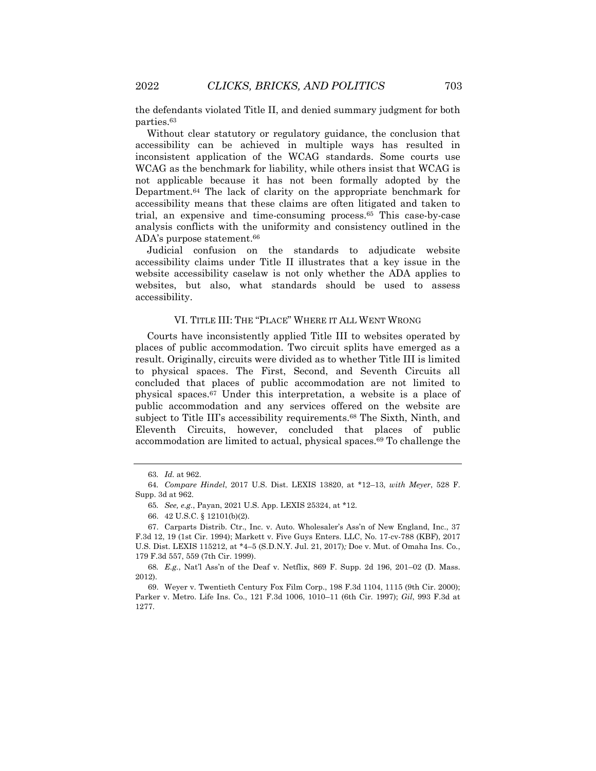the defendants violated Title II, and denied summary judgment for both parties.<sup>63</sup>

Without clear statutory or regulatory guidance, the conclusion that accessibility can be achieved in multiple ways has resulted in inconsistent application of the WCAG standards. Some courts use WCAG as the benchmark for liability, while others insist that WCAG is not applicable because it has not been formally adopted by the Department.<sup>64</sup> The lack of clarity on the appropriate benchmark for accessibility means that these claims are often litigated and taken to trial, an expensive and time-consuming process.<sup>65</sup> This case-by-case analysis conflicts with the uniformity and consistency outlined in the ADA's purpose statement.<sup>66</sup>

Judicial confusion on the standards to adjudicate website accessibility claims under Title II illustrates that a key issue in the website accessibility caselaw is not only whether the ADA applies to websites, but also, what standards should be used to assess accessibility.

#### VI. TITLE III: THE "PLACE" WHERE IT ALL WENT WRONG

Courts have inconsistently applied Title III to websites operated by places of public accommodation. Two circuit splits have emerged as a result. Originally, circuits were divided as to whether Title III is limited to physical spaces. The First, Second, and Seventh Circuits all concluded that places of public accommodation are not limited to physical spaces.<sup>67</sup> Under this interpretation, a website is a place of public accommodation and any services offered on the website are subject to Title III's accessibility requirements.<sup>68</sup> The Sixth, Ninth, and Eleventh Circuits, however, concluded that places of public accommodation are limited to actual, physical spaces.<sup>69</sup> To challenge the

68*. E.g.*, Nat'l Ass'n of the Deaf v. Netflix, 869 F. Supp. 2d 196, 201–02 (D. Mass. 2012).

69. Weyer v. Twentieth Century Fox Film Corp., 198 F.3d 1104, 1115 (9th Cir. 2000); Parker v. Metro. Life Ins. Co., 121 F.3d 1006, 1010–11 (6th Cir. 1997); *Gil*, 993 F.3d at 1277.

<sup>63</sup>*. Id.* at 962.

<sup>64</sup>*. Compare Hindel*, 2017 U.S. Dist. LEXIS 13820, at \*12–13, *with Meyer*, 528 F. Supp. 3d at 962.

<sup>65</sup>*. See, e.g.*, Payan, 2021 U.S. App. LEXIS 25324, at \*12.

<sup>66.</sup> 42 U.S.C. § 12101(b)(2).

<sup>67.</sup> Carparts Distrib. Ctr., Inc. v. Auto. Wholesaler's Ass'n of New England, Inc., 37 F.3d 12, 19 (1st Cir. 1994); Markett v. Five Guys Enters. LLC, No. 17-cv-788 (KBF), 2017 U.S. Dist. LEXIS 115212, at \*4–5 (S.D.N.Y. Jul. 21, 2017)*;* Doe v. Mut. of Omaha Ins. Co*.*, 179 F.3d 557, 559 (7th Cir. 1999).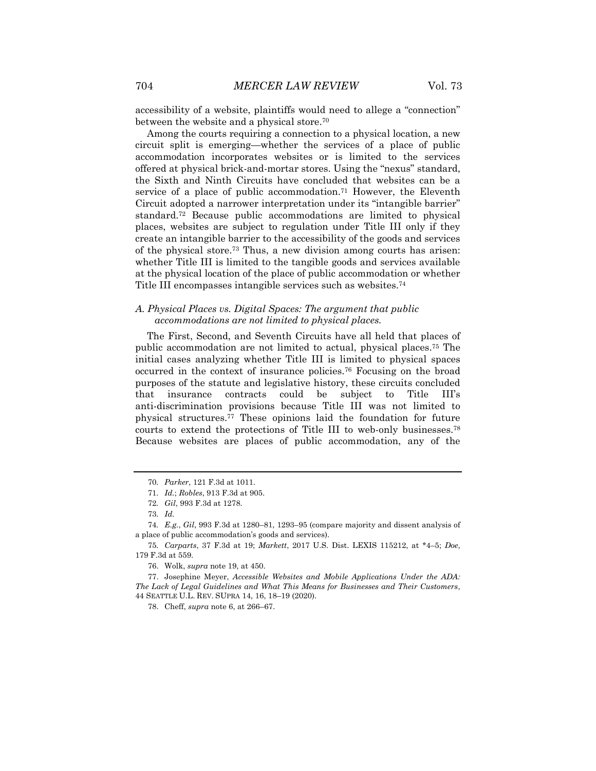accessibility of a website, plaintiffs would need to allege a "connection" between the website and a physical store.<sup>70</sup>

Among the courts requiring a connection to a physical location, a new circuit split is emerging—whether the services of a place of public accommodation incorporates websites or is limited to the services offered at physical brick-and-mortar stores. Using the "nexus" standard, the Sixth and Ninth Circuits have concluded that websites can be a service of a place of public accommodation.<sup>71</sup> However, the Eleventh Circuit adopted a narrower interpretation under its "intangible barrier" standard.<sup>72</sup> Because public accommodations are limited to physical places, websites are subject to regulation under Title III only if they create an intangible barrier to the accessibility of the goods and services of the physical store.<sup>73</sup> Thus, a new division among courts has arisen: whether Title III is limited to the tangible goods and services available at the physical location of the place of public accommodation or whether Title III encompasses intangible services such as websites.<sup>74</sup>

#### *A. Physical Places vs. Digital Spaces: The argument that public accommodations are not limited to physical places.*

The First, Second, and Seventh Circuits have all held that places of public accommodation are not limited to actual, physical places.<sup>75</sup> The initial cases analyzing whether Title III is limited to physical spaces occurred in the context of insurance policies.<sup>76</sup> Focusing on the broad purposes of the statute and legislative history, these circuits concluded that insurance contracts could be subject to Title III's anti-discrimination provisions because Title III was not limited to physical structures.<sup>77</sup> These opinions laid the foundation for future courts to extend the protections of Title III to web-only businesses.<sup>78</sup> Because websites are places of public accommodation, any of the

<sup>70</sup>*. Parker*, 121 F.3d at 1011.

<sup>71</sup>*. Id.*; *Robles*, 913 F.3d at 905.

<sup>72</sup>*. Gil*, 993 F.3d at 1278.

<sup>73</sup>*. Id.*

<sup>74</sup>*. E.g.*, *Gil*, 993 F.3d at 1280–81, 1293–95 (compare majority and dissent analysis of a place of public accommodation's goods and services).

<sup>75</sup>*. Carparts*, 37 F.3d at 19; *Markett*, 2017 U.S. Dist. LEXIS 115212, at \*4–5; *Doe*, 179 F.3d at 559.

<sup>76.</sup> Wolk, *supra* note 19, at 450.

<sup>77.</sup> Josephine Meyer, *Accessible Websites and Mobile Applications Under the ADA: The Lack of Legal Guidelines and What This Means for Businesses and Their Customers*, 44 SEATTLE U.L. REV. SUPRA 14, 16, 18–19 (2020).

<sup>78.</sup> Cheff, *supra* note 6, at 266–67.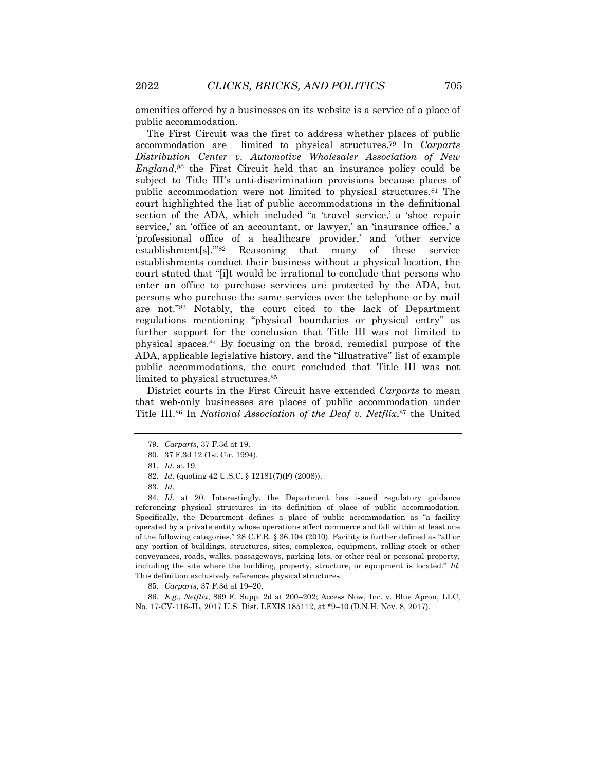amenities offered by a businesses on its website is a service of a place of public accommodation.

The First Circuit was the first to address whether places of public accommodation are limited to physical structures.<sup>79</sup> In *Carparts Distribution Center v. Automotive Wholesaler Association of New England*, <sup>80</sup> the First Circuit held that an insurance policy could be subject to Title III's anti-discrimination provisions because places of public accommodation were not limited to physical structures.<sup>81</sup> The court highlighted the list of public accommodations in the definitional section of the ADA, which included "a 'travel service,' a 'shoe repair service,' an 'office of an accountant, or lawyer,' an 'insurance office,' a 'professional office of a healthcare provider,' and 'other service establishment[s].'"<sup>82</sup> Reasoning that many of these service establishments conduct their business without a physical location, the court stated that "[i]t would be irrational to conclude that persons who enter an office to purchase services are protected by the ADA, but persons who purchase the same services over the telephone or by mail are not."<sup>83</sup> Notably, the court cited to the lack of Department regulations mentioning "physical boundaries or physical entry" as further support for the conclusion that Title III was not limited to physical spaces.<sup>84</sup> By focusing on the broad, remedial purpose of the ADA, applicable legislative history, and the "illustrative" list of example public accommodations, the court concluded that Title III was not limited to physical structures.<sup>85</sup>

District courts in the First Circuit have extended *Carparts* to mean that web-only businesses are places of public accommodation under Title III.<sup>86</sup> In *National Association of the Deaf v. Netflix*, <sup>87</sup> the United

<sup>79</sup>*. Carparts*, 37 F.3d at 19.

<sup>80.</sup> 37 F.3d 12 (1st Cir. 1994).

<sup>81</sup>*. Id.* at 19.

<sup>82</sup>*. Id.* (quoting 42 U.S.C. § 12181(7)(F) (2008)).

<sup>83</sup>*. Id.*

<sup>84</sup>*. Id.* at 20. Interestingly, the Department has issued regulatory guidance referencing physical structures in its definition of place of public accommodation. Specifically, the Department defines a place of public accommodation as "a facility operated by a private entity whose operations affect commerce and fall within at least one of the following categories." 28 C.F.R. § 36.104 (2010). Facility is further defined as "all or any portion of buildings, structures, sites, complexes, equipment, rolling stock or other conveyances, roads, walks, passageways, parking lots, or other real or personal property, including the site where the building, property, structure, or equipment is located." *Id.* This definition exclusively references physical structures.

<sup>85</sup>*. Carparts*, 37 F.3d at 19–20.

<sup>86</sup>*. E.g.*, *Netflix*, 869 F. Supp. 2d at 200–202; Access Now, Inc. v. Blue Apron, LLC, No. 17-CV-116-JL, 2017 U.S. Dist. LEXIS 185112, at \*9–10 (D.N.H. Nov. 8, 2017).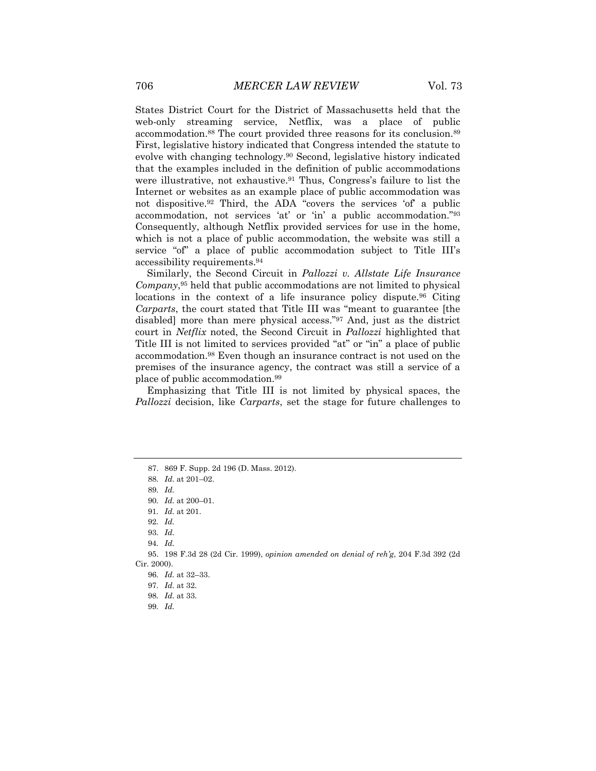States District Court for the District of Massachusetts held that the web-only streaming service, Netflix, was a place of public accommodation.<sup>88</sup> The court provided three reasons for its conclusion.<sup>89</sup> First, legislative history indicated that Congress intended the statute to evolve with changing technology.<sup>90</sup> Second, legislative history indicated that the examples included in the definition of public accommodations were illustrative, not exhaustive.<sup>91</sup> Thus, Congress's failure to list the Internet or websites as an example place of public accommodation was not dispositive.<sup>92</sup> Third, the ADA "covers the services 'of' a public accommodation, not services 'at' or 'in' a public accommodation."<sup>93</sup> Consequently, although Netflix provided services for use in the home, which is not a place of public accommodation, the website was still a service "of" a place of public accommodation subject to Title III's accessibility requirements.<sup>94</sup>

Similarly, the Second Circuit in *Pallozzi v. Allstate Life Insurance Company*, <sup>95</sup> held that public accommodations are not limited to physical locations in the context of a life insurance policy dispute.<sup>96</sup> Citing *Carparts*, the court stated that Title III was "meant to guarantee [the disabled] more than mere physical access."<sup>97</sup> And, just as the district court in *Netflix* noted, the Second Circuit in *Pallozzi* highlighted that Title III is not limited to services provided "at" or "in" a place of public accommodation.<sup>98</sup> Even though an insurance contract is not used on the premises of the insurance agency, the contract was still a service of a place of public accommodation.<sup>99</sup>

Emphasizing that Title III is not limited by physical spaces, the *Pallozzi* decision, like *Carparts*, set the stage for future challenges to

<sup>87.</sup> 869 F. Supp. 2d 196 (D. Mass. 2012).

<sup>88</sup>*. Id.* at 201–02.

<sup>89</sup>*. Id.*

<sup>90</sup>*. Id.* at 200–01.

<sup>91</sup>*. Id.* at 201.

<sup>92</sup>*. Id.*

<sup>93</sup>*. Id.*

<sup>94</sup>*. Id.*

<sup>95.</sup> 198 F.3d 28 (2d Cir. 1999), *opinion amended on denial of reh'g*, 204 F.3d 392 (2d Cir. 2000).

<sup>96</sup>*. Id.* at 32–33.

<sup>97</sup>*. Id.* at 32.

<sup>98</sup>*. Id.* at 33.

<sup>99</sup>*. Id.*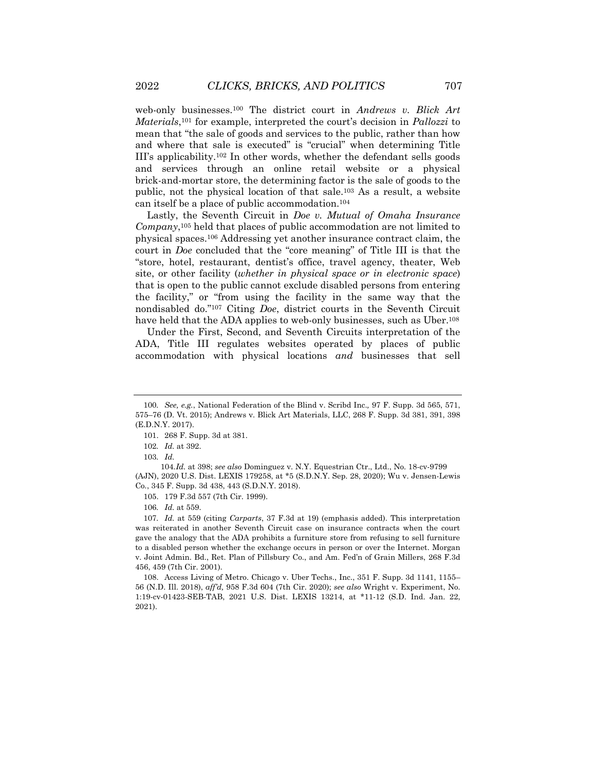web-only businesses.<sup>100</sup> The district court in *Andrews v. Blick Art Materials*, <sup>101</sup> for example, interpreted the court's decision in *Pallozzi* to mean that "the sale of goods and services to the public, rather than how and where that sale is executed" is "crucial" when determining Title III's applicability.<sup>102</sup> In other words, whether the defendant sells goods and services through an online retail website or a physical brick-and-mortar store, the determining factor is the sale of goods to the public, not the physical location of that sale.<sup>103</sup> As a result, a website can itself be a place of public accommodation.<sup>104</sup>

Lastly, the Seventh Circuit in *Doe v. Mutual of Omaha Insurance Company*, <sup>105</sup> held that places of public accommodation are not limited to physical spaces. <sup>106</sup> Addressing yet another insurance contract claim, the court in *Doe* concluded that the "core meaning" of Title III is that the "store, hotel, restaurant, dentist's office, travel agency, theater, Web site, or other facility (*whether in physical space or in electronic space*) that is open to the public cannot exclude disabled persons from entering the facility," or "from using the facility in the same way that the nondisabled do."<sup>107</sup> Citing *Doe*, district courts in the Seventh Circuit have held that the ADA applies to web-only businesses, such as Uber.<sup>108</sup>

Under the First, Second, and Seventh Circuits interpretation of the ADA, Title III regulates websites operated by places of public accommodation with physical locations *and* businesses that sell

105. 179 F.3d 557 (7th Cir. 1999).

107*. Id.* at 559 (citing *Carparts*, 37 F.3d at 19) (emphasis added). This interpretation was reiterated in another Seventh Circuit case on insurance contracts when the court gave the analogy that the ADA prohibits a furniture store from refusing to sell furniture to a disabled person whether the exchange occurs in person or over the Internet. Morgan v. Joint Admin. Bd., Ret. Plan of Pillsbury Co., and Am. Fed'n of Grain Millers, 268 F.3d 456, 459 (7th Cir. 2001).

108. Access Living of Metro. Chicago v. Uber Techs., Inc., 351 F. Supp. 3d 1141, 1155– 56 (N.D. Ill. 2018), *aff'd,* 958 F.3d 604 (7th Cir. 2020); *see also* Wright v. Experiment, No. 1:19-cv-01423-SEB-TAB, 2021 U.S. Dist. LEXIS 13214, at \*11-12 (S.D. Ind. Jan. 22, 2021).

<sup>100</sup>*. See, e.g.*, National Federation of the Blind v. Scribd Inc.*,* 97 F. Supp. 3d 565, 571, 575–76 (D. Vt. 2015); Andrews v. Blick Art Materials, LLC, 268 F. Supp. 3d 381, 391, 398 (E.D.N.Y. 2017).

<sup>101.</sup> 268 F. Supp. 3d at 381.

<sup>102</sup>*. Id.* at 392.

<sup>103</sup>*. Id.*

<sup>104</sup>*.Id.* at 398; *see also* Dominguez v. N.Y. Equestrian Ctr., Ltd., No. 18-cv-9799 (AJN), 2020 U.S. Dist. LEXIS 179258, at \*5 (S.D.N.Y. Sep. 28, 2020); Wu v. Jensen-Lewis Co*.*, 345 F. Supp. 3d 438, 443 (S.D.N.Y. 2018).

<sup>106</sup>*. Id.* at 559.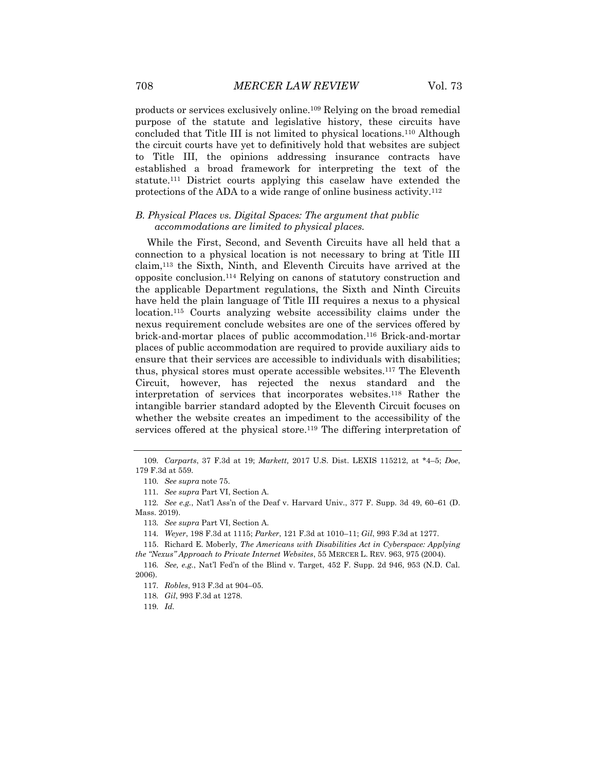products or services exclusively online.<sup>109</sup> Relying on the broad remedial purpose of the statute and legislative history, these circuits have concluded that Title III is not limited to physical locations.<sup>110</sup> Although the circuit courts have yet to definitively hold that websites are subject to Title III, the opinions addressing insurance contracts have established a broad framework for interpreting the text of the statute.<sup>111</sup> District courts applying this caselaw have extended the protections of the ADA to a wide range of online business activity.<sup>112</sup>

### *B. Physical Places vs. Digital Spaces: The argument that public accommodations are limited to physical places.*

While the First, Second, and Seventh Circuits have all held that a connection to a physical location is not necessary to bring at Title III claim,<sup>113</sup> the Sixth, Ninth, and Eleventh Circuits have arrived at the opposite conclusion.<sup>114</sup> Relying on canons of statutory construction and the applicable Department regulations, the Sixth and Ninth Circuits have held the plain language of Title III requires a nexus to a physical location.<sup>115</sup> Courts analyzing website accessibility claims under the nexus requirement conclude websites are one of the services offered by brick-and-mortar places of public accommodation.<sup>116</sup> Brick-and-mortar places of public accommodation are required to provide auxiliary aids to ensure that their services are accessible to individuals with disabilities; thus, physical stores must operate accessible websites.<sup>117</sup> The Eleventh Circuit, however, has rejected the nexus standard and the interpretation of services that incorporates websites.<sup>118</sup> Rather the intangible barrier standard adopted by the Eleventh Circuit focuses on whether the website creates an impediment to the accessibility of the services offered at the physical store.<sup>119</sup> The differing interpretation of

<sup>109</sup>*. Carparts*, 37 F.3d at 19; *Markett,* 2017 U.S. Dist. LEXIS 115212, at \*4–5; *Doe*, 179 F.3d at 559.

<sup>110</sup>*. See supra* note 75.

<sup>111</sup>*. See supra* Part VI, Section A.

<sup>112</sup>*. See e.g.*, Nat'l Ass'n of the Deaf v. Harvard Univ., 377 F. Supp. 3d 49, 60–61 (D. Mass. 2019).

<sup>113</sup>*. See supra* Part VI, Section A.

<sup>114</sup>*. Weyer*, 198 F.3d at 1115; *Parker*, 121 F.3d at 1010–11; *Gil*, 993 F.3d at 1277.

<sup>115.</sup> Richard E. Moberly, *The Americans with Disabilities Act in Cyberspace: Applying the "Nexus" Approach to Private Internet Websites*, 55 MERCER L. REV. 963, 975 (2004).

<sup>116</sup>*. See, e.g.*, Nat'l Fed'n of the Blind v. Target, 452 F. Supp. 2d 946, 953 (N.D. Cal. 2006).

<sup>117</sup>*. Robles*, 913 F.3d at 904–05.

<sup>118</sup>*. Gil*, 993 F.3d at 1278.

<sup>119</sup>*. Id.*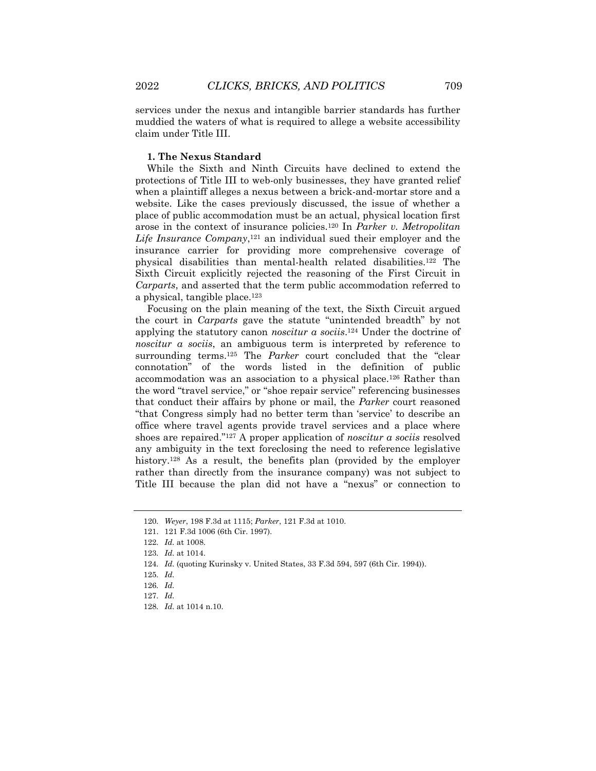services under the nexus and intangible barrier standards has further muddied the waters of what is required to allege a website accessibility claim under Title III.

#### **1. The Nexus Standard**

While the Sixth and Ninth Circuits have declined to extend the protections of Title III to web-only businesses, they have granted relief when a plaintiff alleges a nexus between a brick-and-mortar store and a website. Like the cases previously discussed, the issue of whether a place of public accommodation must be an actual, physical location first arose in the context of insurance policies.<sup>120</sup> In *Parker v. Metropolitan*  Life Insurance Company,<sup>121</sup> an individual sued their employer and the insurance carrier for providing more comprehensive coverage of physical disabilities than mental-health related disabilities.<sup>122</sup> The Sixth Circuit explicitly rejected the reasoning of the First Circuit in *Carparts*, and asserted that the term public accommodation referred to a physical, tangible place.<sup>123</sup>

Focusing on the plain meaning of the text, the Sixth Circuit argued the court in *Carparts* gave the statute "unintended breadth" by not applying the statutory canon *noscitur a sociis*. <sup>124</sup> Under the doctrine of *noscitur a sociis*, an ambiguous term is interpreted by reference to surrounding terms.<sup>125</sup> The *Parker* court concluded that the "clear connotation" of the words listed in the definition of public accommodation was an association to a physical place.<sup>126</sup> Rather than the word "travel service," or "shoe repair service" referencing businesses that conduct their affairs by phone or mail, the *Parker* court reasoned "that Congress simply had no better term than 'service' to describe an office where travel agents provide travel services and a place where shoes are repaired."<sup>127</sup> A proper application of *noscitur a sociis* resolved any ambiguity in the text foreclosing the need to reference legislative history.<sup>128</sup> As a result, the benefits plan (provided by the employer rather than directly from the insurance company) was not subject to Title III because the plan did not have a "nexus" or connection to

124*. Id.* (quoting Kurinsky v. United States, 33 F.3d 594, 597 (6th Cir. 1994)).

<sup>120</sup>*. Weyer*, 198 F.3d at 1115; *Parker*, 121 F.3d at 1010.

<sup>121.</sup> 121 F.3d 1006 (6th Cir. 1997).

<sup>122</sup>*. Id.* at 1008.

<sup>123</sup>*. Id.* at 1014.

<sup>125</sup>*. Id.*

<sup>126</sup>*. Id.*

<sup>127</sup>*. Id.*

<sup>128</sup>*. Id.* at 1014 n.10.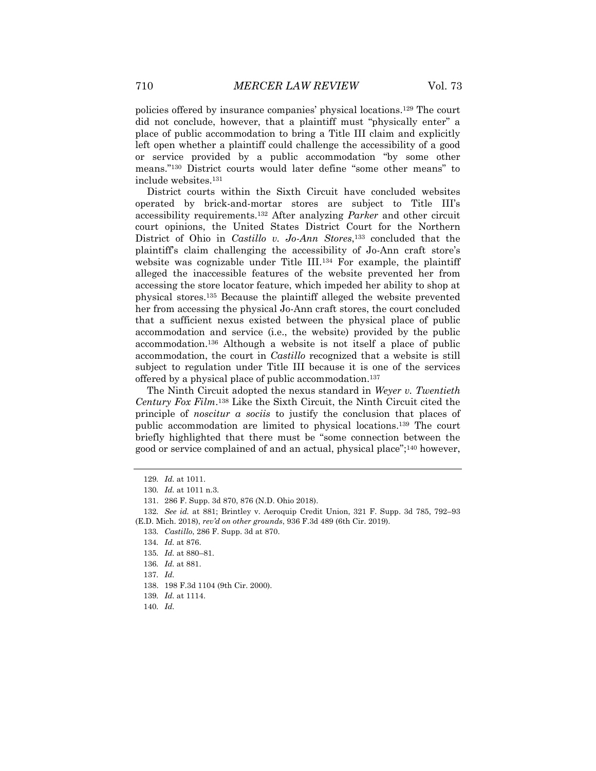policies offered by insurance companies' physical locations.<sup>129</sup> The court did not conclude, however, that a plaintiff must "physically enter" a place of public accommodation to bring a Title III claim and explicitly left open whether a plaintiff could challenge the accessibility of a good or service provided by a public accommodation "by some other means."<sup>130</sup> District courts would later define "some other means" to include websites.<sup>131</sup>

District courts within the Sixth Circuit have concluded websites operated by brick-and-mortar stores are subject to Title III's accessibility requirements.<sup>132</sup> After analyzing *Parker* and other circuit court opinions, the United States District Court for the Northern District of Ohio in *Castillo v. Jo-Ann Stores*, <sup>133</sup> concluded that the plaintiff's claim challenging the accessibility of Jo-Ann craft store's website was cognizable under Title III.<sup>134</sup> For example, the plaintiff alleged the inaccessible features of the website prevented her from accessing the store locator feature, which impeded her ability to shop at physical stores.<sup>135</sup> Because the plaintiff alleged the website prevented her from accessing the physical Jo-Ann craft stores, the court concluded that a sufficient nexus existed between the physical place of public accommodation and service (i.e., the website) provided by the public accommodation.<sup>136</sup> Although a website is not itself a place of public accommodation, the court in *Castillo* recognized that a website is still subject to regulation under Title III because it is one of the services offered by a physical place of public accommodation. 137

The Ninth Circuit adopted the nexus standard in *Weyer v. Twentieth Century Fox Film*. <sup>138</sup> Like the Sixth Circuit, the Ninth Circuit cited the principle of *noscitur a sociis* to justify the conclusion that places of public accommodation are limited to physical locations.<sup>139</sup> The court briefly highlighted that there must be "some connection between the good or service complained of and an actual, physical place";<sup>140</sup> however,

<sup>129</sup>*. Id.* at 1011.

<sup>130</sup>*. Id.* at 1011 n.3.

<sup>131.</sup> 286 F. Supp. 3d 870, 876 (N.D. Ohio 2018).

<sup>132</sup>*. See id.* at 881; Brintley v. Aeroquip Credit Union, 321 F. Supp. 3d 785, 792–93 (E.D. Mich. 2018), *rev'd on other grounds*, 936 F.3d 489 (6th Cir. 2019).

<sup>133</sup>*. Castillo*, 286 F. Supp. 3d at 870.

<sup>134</sup>*. Id.* at 876.

<sup>135</sup>*. Id.* at 880–81.

<sup>136</sup>*. Id.* at 881.

<sup>137</sup>*. Id.*

<sup>138.</sup> 198 F.3d 1104 (9th Cir. 2000).

<sup>139</sup>*. Id.* at 1114.

<sup>140</sup>*. Id.*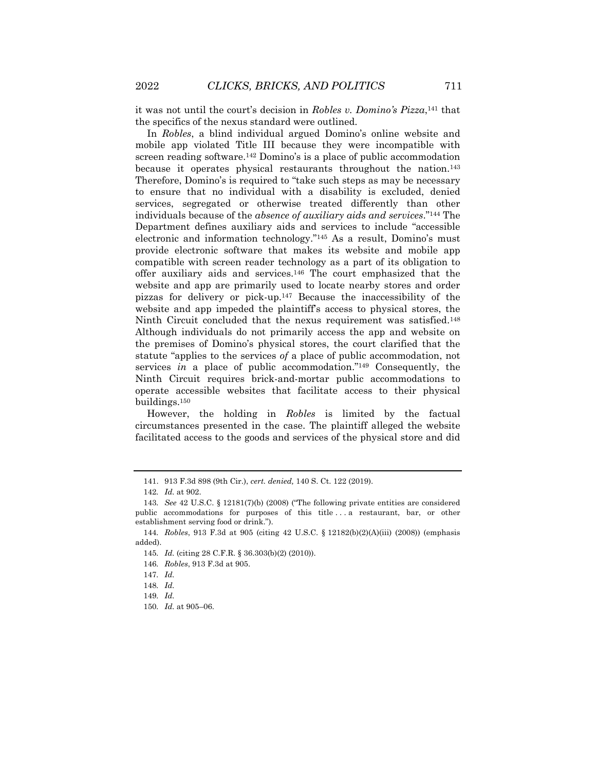it was not until the court's decision in *Robles v. Domino's Pizza*, <sup>141</sup> that the specifics of the nexus standard were outlined.

In *Robles*, a blind individual argued Domino's online website and mobile app violated Title III because they were incompatible with screen reading software.<sup>142</sup> Domino's is a place of public accommodation because it operates physical restaurants throughout the nation.<sup>143</sup> Therefore, Domino's is required to "take such steps as may be necessary to ensure that no individual with a disability is excluded, denied services, segregated or otherwise treated differently than other individuals because of the *absence of auxiliary aids and services*."<sup>144</sup> The Department defines auxiliary aids and services to include "accessible electronic and information technology."<sup>145</sup> As a result, Domino's must provide electronic software that makes its website and mobile app compatible with screen reader technology as a part of its obligation to offer auxiliary aids and services.<sup>146</sup> The court emphasized that the website and app are primarily used to locate nearby stores and order pizzas for delivery or pick-up.<sup>147</sup> Because the inaccessibility of the website and app impeded the plaintiff's access to physical stores, the Ninth Circuit concluded that the nexus requirement was satisfied.<sup>148</sup> Although individuals do not primarily access the app and website on the premises of Domino's physical stores, the court clarified that the statute "applies to the services *of* a place of public accommodation, not services *in* a place of public accommodation."<sup>149</sup> Consequently, the Ninth Circuit requires brick-and-mortar public accommodations to operate accessible websites that facilitate access to their physical buildings.<sup>150</sup>

However, the holding in *Robles* is limited by the factual circumstances presented in the case. The plaintiff alleged the website facilitated access to the goods and services of the physical store and did

<sup>141.</sup> 913 F.3d 898 (9th Cir.), *cert. denied,* 140 S. Ct. 122 (2019).

<sup>142</sup>*. Id.* at 902.

<sup>143</sup>*. See* 42 U.S.C. § 12181(7)(b) (2008) ("The following private entities are considered public accommodations for purposes of this title . . . a restaurant, bar, or other establishment serving food or drink.").

<sup>144</sup>*. Robles*, 913 F.3d at 905 (citing 42 U.S.C. § 12182(b)(2)(A)(iii) (2008)) (emphasis added).

<sup>145</sup>*. Id.* (citing 28 C.F.R. § 36.303(b)(2) (2010)).

<sup>146</sup>*. Robles*, 913 F.3d at 905.

<sup>147</sup>*. Id.*

<sup>148</sup>*. Id.*

<sup>149</sup>*. Id.*

<sup>150</sup>*. Id.* at 905–06.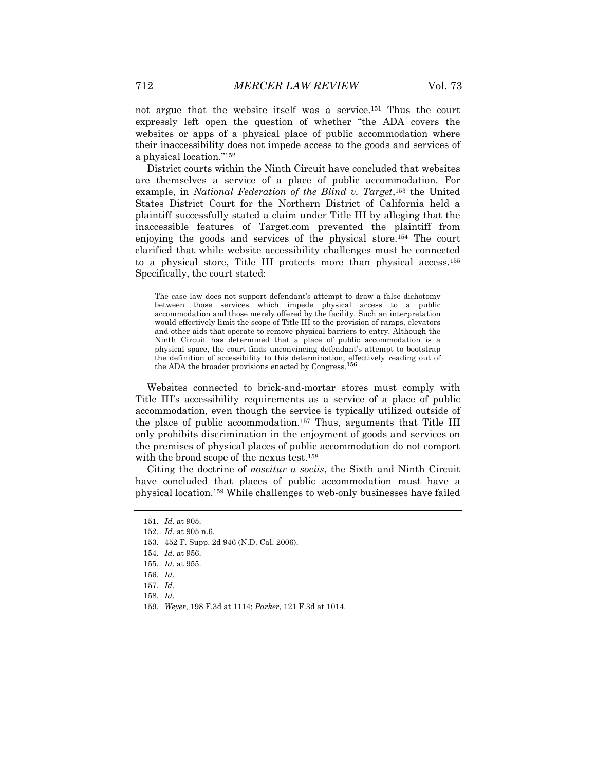not argue that the website itself was a service.<sup>151</sup> Thus the court expressly left open the question of whether "the ADA covers the websites or apps of a physical place of public accommodation where their inaccessibility does not impede access to the goods and services of a physical location."<sup>152</sup>

District courts within the Ninth Circuit have concluded that websites are themselves a service of a place of public accommodation. For example, in *National Federation of the Blind v. Target*, <sup>153</sup> the United States District Court for the Northern District of California held a plaintiff successfully stated a claim under Title III by alleging that the inaccessible features of Target.com prevented the plaintiff from enjoying the goods and services of the physical store.<sup>154</sup> The court clarified that while website accessibility challenges must be connected to a physical store, Title III protects more than physical access.<sup>155</sup> Specifically, the court stated:

The case law does not support defendant's attempt to draw a false dichotomy between those services which impede physical access to a public accommodation and those merely offered by the facility. Such an interpretation would effectively limit the scope of Title III to the provision of ramps, elevators and other aids that operate to remove physical barriers to entry. Although the Ninth Circuit has determined that a place of public accommodation is a physical space, the court finds unconvincing defendant's attempt to bootstrap the definition of accessibility to this determination, effectively reading out of the ADA the broader provisions enacted by Congress.156

Websites connected to brick-and-mortar stores must comply with Title III's accessibility requirements as a service of a place of public accommodation, even though the service is typically utilized outside of the place of public accommodation.<sup>157</sup> Thus, arguments that Title III only prohibits discrimination in the enjoyment of goods and services on the premises of physical places of public accommodation do not comport with the broad scope of the nexus test.<sup>158</sup>

Citing the doctrine of *noscitur a sociis*, the Sixth and Ninth Circuit have concluded that places of public accommodation must have a physical location.<sup>159</sup> While challenges to web-only businesses have failed

152*. Id.* at 905 n.6.

<sup>151</sup>*. Id.* at 905.

<sup>153.</sup> 452 F. Supp. 2d 946 (N.D. Cal. 2006).

<sup>154</sup>*. Id.* at 956.

<sup>155</sup>*. Id.* at 955.

<sup>156</sup>*. Id.*

<sup>157</sup>*. Id.*

<sup>158</sup>*. Id.*

<sup>159</sup>*. Weyer*, 198 F.3d at 1114; *Parker*, 121 F.3d at 1014.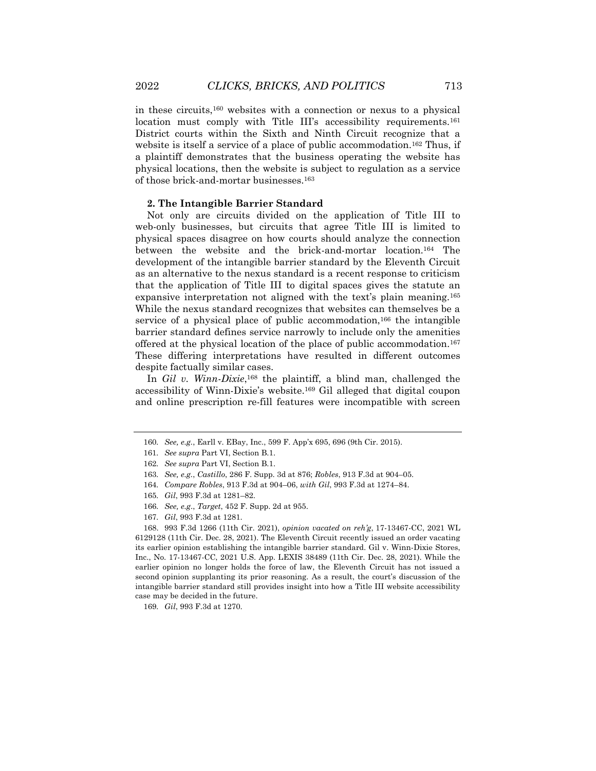in these circuits,<sup>160</sup> websites with a connection or nexus to a physical location must comply with Title III's accessibility requirements.<sup>161</sup> District courts within the Sixth and Ninth Circuit recognize that a website is itself a service of a place of public accommodation.<sup>162</sup> Thus, if a plaintiff demonstrates that the business operating the website has physical locations, then the website is subject to regulation as a service of those brick-and-mortar businesses.<sup>163</sup>

#### **2. The Intangible Barrier Standard**

Not only are circuits divided on the application of Title III to web-only businesses, but circuits that agree Title III is limited to physical spaces disagree on how courts should analyze the connection between the website and the brick-and-mortar location.<sup>164</sup> The development of the intangible barrier standard by the Eleventh Circuit as an alternative to the nexus standard is a recent response to criticism that the application of Title III to digital spaces gives the statute an expansive interpretation not aligned with the text's plain meaning.<sup>165</sup> While the nexus standard recognizes that websites can themselves be a service of a physical place of public accommodation,<sup>166</sup> the intangible barrier standard defines service narrowly to include only the amenities offered at the physical location of the place of public accommodation.<sup>167</sup> These differing interpretations have resulted in different outcomes despite factually similar cases.

In *Gil v. Winn-Dixie*,<sup>168</sup> the plaintiff, a blind man, challenged the accessibility of Winn-Dixie's website.<sup>169</sup> Gil alleged that digital coupon and online prescription re-fill features were incompatible with screen

<sup>160</sup>*. See, e.g.*, Earll v. EBay, Inc., 599 F. App'x 695, 696 (9th Cir. 2015).

<sup>161</sup>*. See supra* Part VI, Section B.1.

<sup>162</sup>*. See supra* Part VI, Section B.1.

<sup>163</sup>*. See, e.g.*, *Castillo*, 286 F. Supp. 3d at 876; *Robles*, 913 F.3d at 904–05.

<sup>164</sup>*. Compare Robles*, 913 F.3d at 904–06, *with Gil*, 993 F.3d at 1274–84.

<sup>165</sup>*. Gil*, 993 F.3d at 1281–82.

<sup>166</sup>*. See, e.g*., *Target*, 452 F. Supp. 2d at 955.

<sup>167</sup>*. Gil*, 993 F.3d at 1281.

<sup>168.</sup> 993 F.3d 1266 (11th Cir. 2021), *opinion vacated on reh'g*, 17-13467-CC, 2021 WL 6129128 (11th Cir. Dec. 28, 2021). The Eleventh Circuit recently issued an order vacating its earlier opinion establishing the intangible barrier standard. Gil v. Winn-Dixie Stores, Inc., No. 17-13467-CC, 2021 U.S. App. LEXIS 38489 (11th Cir. Dec. 28, 2021). While the earlier opinion no longer holds the force of law, the Eleventh Circuit has not issued a second opinion supplanting its prior reasoning. As a result, the court's discussion of the intangible barrier standard still provides insight into how a Title III website accessibility case may be decided in the future.

<sup>169</sup>*. Gil*, 993 F.3d at 1270.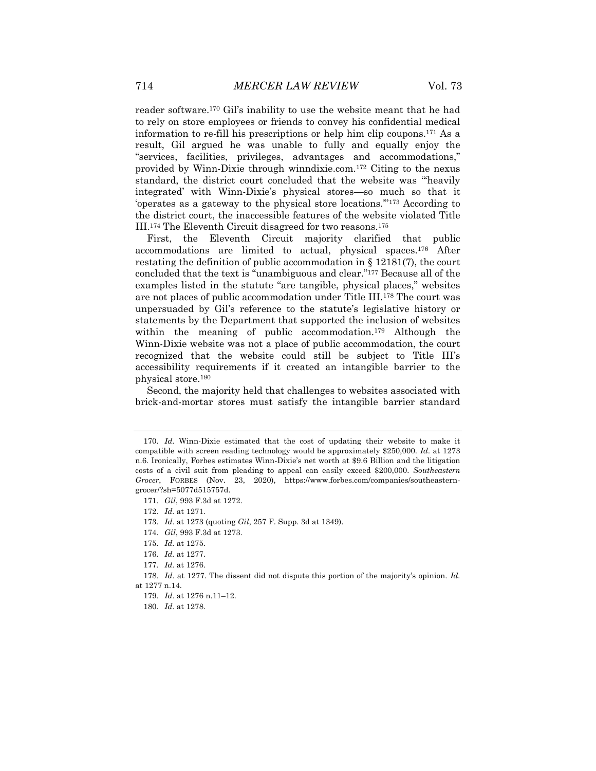reader software.<sup>170</sup> Gil's inability to use the website meant that he had to rely on store employees or friends to convey his confidential medical information to re-fill his prescriptions or help him clip coupons.<sup>171</sup> As a result, Gil argued he was unable to fully and equally enjoy the "services, facilities, privileges, advantages and accommodations," provided by Winn-Dixie through winndixie.com.<sup>172</sup> Citing to the nexus standard, the district court concluded that the website was "'heavily integrated' with Winn-Dixie's physical stores—so much so that it 'operates as a gateway to the physical store locations.'"<sup>173</sup> According to the district court, the inaccessible features of the website violated Title III.<sup>174</sup> The Eleventh Circuit disagreed for two reasons.<sup>175</sup>

First, the Eleventh Circuit majority clarified that public accommodations are limited to actual, physical spaces.<sup>176</sup> After restating the definition of public accommodation in  $\S$  12181(7), the court concluded that the text is "unambiguous and clear."<sup>177</sup> Because all of the examples listed in the statute "are tangible, physical places," websites are not places of public accommodation under Title III.<sup>178</sup> The court was unpersuaded by Gil's reference to the statute's legislative history or statements by the Department that supported the inclusion of websites within the meaning of public accommodation.<sup>179</sup> Although the Winn-Dixie website was not a place of public accommodation, the court recognized that the website could still be subject to Title III's accessibility requirements if it created an intangible barrier to the physical store.<sup>180</sup>

Second, the majority held that challenges to websites associated with brick-and-mortar stores must satisfy the intangible barrier standard

174*. Gil*, 993 F.3d at 1273.

176*. Id.* at 1277.

<sup>170</sup>*. Id.* Winn-Dixie estimated that the cost of updating their website to make it compatible with screen reading technology would be approximately \$250,000. *Id.* at 1273 n.6. Ironically, Forbes estimates Winn-Dixie's net worth at \$9.6 Billion and the litigation costs of a civil suit from pleading to appeal can easily exceed \$200,000. *Southeastern Grocer*, FORBES (Nov. 23, 2020), https://www.forbes.com/companies/southeasterngrocer/?sh=5077d515757d.

<sup>171</sup>*. Gil*, 993 F.3d at 1272.

<sup>172</sup>*. Id.* at 1271.

<sup>173</sup>*. Id.* at 1273 (quoting *Gil*, 257 F. Supp. 3d at 1349).

<sup>175</sup>*. Id.* at 1275.

<sup>177</sup>*. Id.* at 1276.

<sup>178</sup>*. Id.* at 1277. The dissent did not dispute this portion of the majority's opinion. *Id.* at 1277 n.14.

<sup>179</sup>*. Id.* at 1276 n.11–12.

<sup>180</sup>*. Id.* at 1278.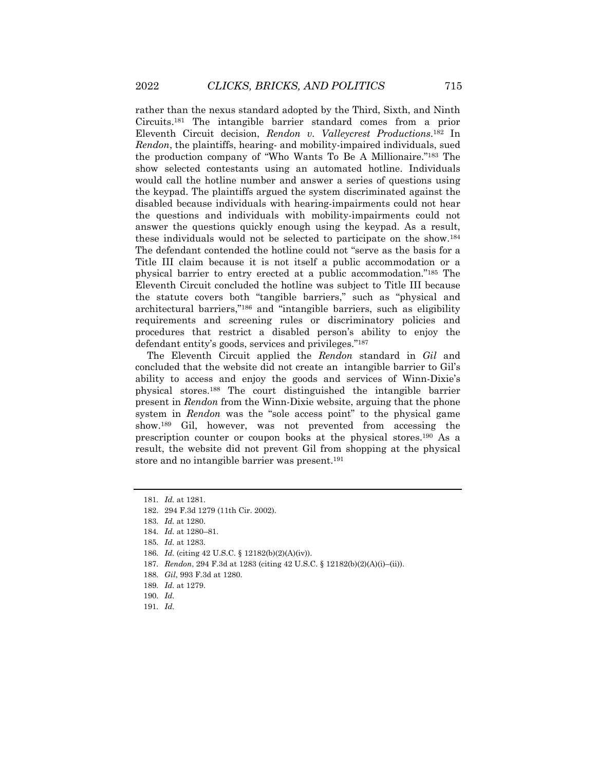rather than the nexus standard adopted by the Third, Sixth, and Ninth Circuits.<sup>181</sup> The intangible barrier standard comes from a prior Eleventh Circuit decision, *Rendon v. Valleycrest Productions*. <sup>182</sup> In *Rendon*, the plaintiffs, hearing- and mobility-impaired individuals, sued the production company of "Who Wants To Be A Millionaire."<sup>183</sup> The show selected contestants using an automated hotline. Individuals would call the hotline number and answer a series of questions using the keypad. The plaintiffs argued the system discriminated against the disabled because individuals with hearing-impairments could not hear the questions and individuals with mobility-impairments could not answer the questions quickly enough using the keypad. As a result, these individuals would not be selected to participate on the show.<sup>184</sup> The defendant contended the hotline could not "serve as the basis for a Title III claim because it is not itself a public accommodation or a physical barrier to entry erected at a public accommodation."<sup>185</sup> The Eleventh Circuit concluded the hotline was subject to Title III because the statute covers both "tangible barriers," such as "physical and architectural barriers,"<sup>186</sup> and "intangible barriers, such as eligibility requirements and screening rules or discriminatory policies and procedures that restrict a disabled person's ability to enjoy the defendant entity's goods, services and privileges."<sup>187</sup>

The Eleventh Circuit applied the *Rendon* standard in *Gil* and concluded that the website did not create an intangible barrier to Gil's ability to access and enjoy the goods and services of Winn-Dixie's physical stores.<sup>188</sup> The court distinguished the intangible barrier present in *Rendon* from the Winn-Dixie website, arguing that the phone system in *Rendon* was the "sole access point" to the physical game show.<sup>189</sup> Gil, however, was not prevented from accessing the prescription counter or coupon books at the physical stores.<sup>190</sup> As a result, the website did not prevent Gil from shopping at the physical store and no intangible barrier was present.<sup>191</sup>

- 187*. Rendon*, 294 F.3d at 1283 (citing 42 U.S.C. § 12182(b)(2)(A)(i)–(ii)).
- 188*. Gil*, 993 F.3d at 1280.
- 189*. Id.* at 1279.

191*. Id.*

<sup>181</sup>*. Id.* at 1281.

<sup>182.</sup> 294 F.3d 1279 (11th Cir. 2002).

<sup>183</sup>*. Id.* at 1280.

<sup>184</sup>*. Id.* at 1280–81.

<sup>185</sup>*. Id.* at 1283.

<sup>186</sup>*. Id.* (citing 42 U.S.C. § 12182(b)(2)(A)(iv)).

<sup>190</sup>*. Id.*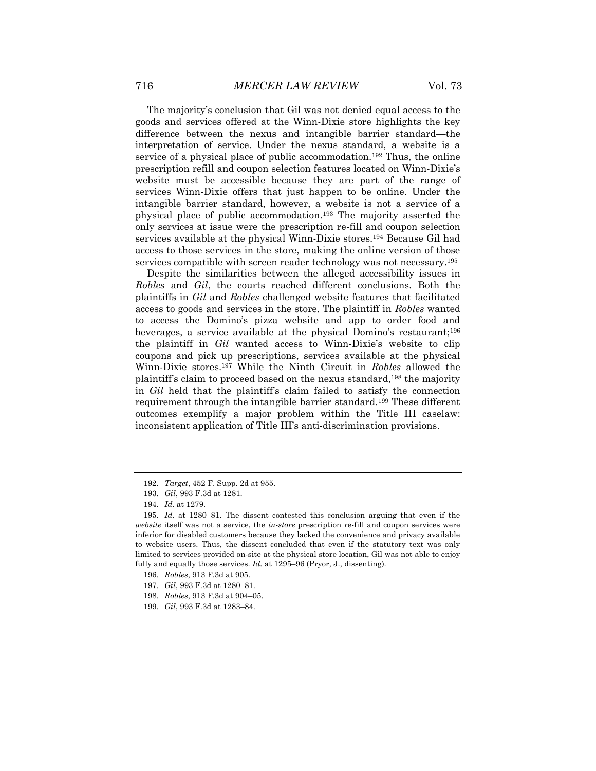The majority's conclusion that Gil was not denied equal access to the goods and services offered at the Winn-Dixie store highlights the key difference between the nexus and intangible barrier standard—the interpretation of service. Under the nexus standard, a website is a service of a physical place of public accommodation.<sup>192</sup> Thus, the online prescription refill and coupon selection features located on Winn-Dixie's website must be accessible because they are part of the range of services Winn-Dixie offers that just happen to be online. Under the intangible barrier standard, however, a website is not a service of a physical place of public accommodation.<sup>193</sup> The majority asserted the only services at issue were the prescription re-fill and coupon selection services available at the physical Winn-Dixie stores.<sup>194</sup> Because Gil had access to those services in the store, making the online version of those services compatible with screen reader technology was not necessary.<sup>195</sup>

Despite the similarities between the alleged accessibility issues in *Robles* and *Gil*, the courts reached different conclusions. Both the plaintiffs in *Gil* and *Robles* challenged website features that facilitated access to goods and services in the store. The plaintiff in *Robles* wanted to access the Domino's pizza website and app to order food and beverages, a service available at the physical Domino's restaurant;<sup>196</sup> the plaintiff in *Gil* wanted access to Winn-Dixie's website to clip coupons and pick up prescriptions, services available at the physical Winn-Dixie stores.<sup>197</sup> While the Ninth Circuit in *Robles* allowed the plaintiff's claim to proceed based on the nexus standard,<sup>198</sup> the majority in *Gil* held that the plaintiff's claim failed to satisfy the connection requirement through the intangible barrier standard.<sup>199</sup> These different outcomes exemplify a major problem within the Title III caselaw: inconsistent application of Title III's anti-discrimination provisions.

<sup>192</sup>*. Target*, 452 F. Supp. 2d at 955.

<sup>193</sup>*. Gil*, 993 F.3d at 1281.

<sup>194</sup>*. Id.* at 1279.

<sup>195</sup>*. Id.* at 1280–81. The dissent contested this conclusion arguing that even if the *website* itself was not a service, the *in-store* prescription re-fill and coupon services were inferior for disabled customers because they lacked the convenience and privacy available to website users. Thus, the dissent concluded that even if the statutory text was only limited to services provided on-site at the physical store location, Gil was not able to enjoy fully and equally those services. *Id.* at 1295–96 (Pryor, J., dissenting).

<sup>196</sup>*. Robles*, 913 F.3d at 905.

<sup>197</sup>*. Gil*, 993 F.3d at 1280–81.

<sup>198</sup>*. Robles*, 913 F.3d at 904–05.

<sup>199</sup>*. Gil*, 993 F.3d at 1283–84.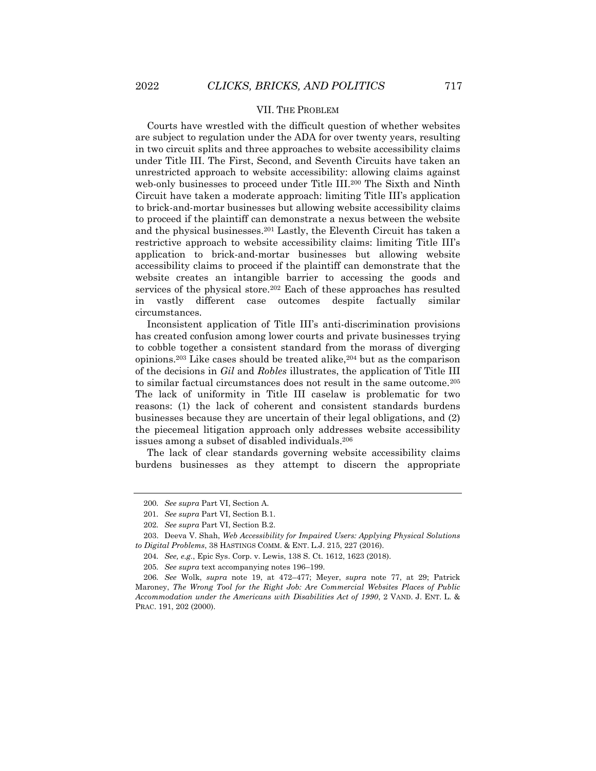#### VII. THE PROBLEM

Courts have wrestled with the difficult question of whether websites are subject to regulation under the ADA for over twenty years, resulting in two circuit splits and three approaches to website accessibility claims under Title III. The First, Second, and Seventh Circuits have taken an unrestricted approach to website accessibility: allowing claims against web-only businesses to proceed under Title III.<sup>200</sup> The Sixth and Ninth Circuit have taken a moderate approach: limiting Title III's application to brick-and-mortar businesses but allowing website accessibility claims to proceed if the plaintiff can demonstrate a nexus between the website and the physical businesses.<sup>201</sup> Lastly, the Eleventh Circuit has taken a restrictive approach to website accessibility claims: limiting Title III's application to brick-and-mortar businesses but allowing website accessibility claims to proceed if the plaintiff can demonstrate that the website creates an intangible barrier to accessing the goods and services of the physical store.<sup>202</sup> Each of these approaches has resulted in vastly different case outcomes despite factually similar circumstances.

Inconsistent application of Title III's anti-discrimination provisions has created confusion among lower courts and private businesses trying to cobble together a consistent standard from the morass of diverging opinions.<sup>203</sup> Like cases should be treated alike,<sup>204</sup> but as the comparison of the decisions in *Gil* and *Robles* illustrates, the application of Title III to similar factual circumstances does not result in the same outcome.<sup>205</sup> The lack of uniformity in Title III caselaw is problematic for two reasons: (1) the lack of coherent and consistent standards burdens businesses because they are uncertain of their legal obligations, and (2) the piecemeal litigation approach only addresses website accessibility issues among a subset of disabled individuals.<sup>206</sup>

The lack of clear standards governing website accessibility claims burdens businesses as they attempt to discern the appropriate

<sup>200</sup>*. See supra* Part VI, Section A.

<sup>201</sup>*. See supra* Part VI, Section B.1.

<sup>202</sup>*. See supra* Part VI, Section B.2.

<sup>203.</sup> Deeva V. Shah, *Web Accessibility for Impaired Users: Applying Physical Solutions to Digital Problems*, 38 HASTINGS COMM. & ENT. L.J. 215, 227 (2016).

<sup>204</sup>*. See, e.g.*, Epic Sys. Corp. v. Lewis, 138 S. Ct. 1612, 1623 (2018).

<sup>205</sup>*. See supra* text accompanying notes 196–199.

<sup>206</sup>*. See* Wolk, *supra* note 19, at 472–477; Meyer, *supra* note 77, at 29; Patrick Maroney, *The Wrong Tool for the Right Job: Are Commercial Websites Places of Public Accommodation under the Americans with Disabilities Act of 1990*, 2 VAND. J. ENT. L. & PRAC. 191, 202 (2000).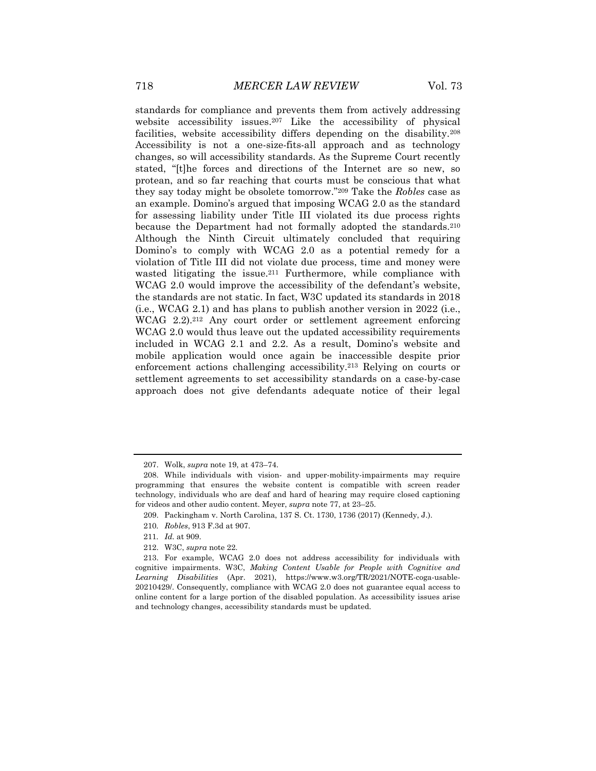standards for compliance and prevents them from actively addressing website accessibility issues.<sup>207</sup> Like the accessibility of physical facilities, website accessibility differs depending on the disability.<sup>208</sup> Accessibility is not a one-size-fits-all approach and as technology changes, so will accessibility standards. As the Supreme Court recently stated, "[t]he forces and directions of the Internet are so new, so protean, and so far reaching that courts must be conscious that what they say today might be obsolete tomorrow."<sup>209</sup> Take the *Robles* case as an example. Domino's argued that imposing WCAG 2.0 as the standard for assessing liability under Title III violated its due process rights because the Department had not formally adopted the standards.<sup>210</sup> Although the Ninth Circuit ultimately concluded that requiring Domino's to comply with WCAG 2.0 as a potential remedy for a violation of Title III did not violate due process, time and money were wasted litigating the issue.<sup>211</sup> Furthermore, while compliance with WCAG 2.0 would improve the accessibility of the defendant's website, the standards are not static. In fact, W3C updated its standards in 2018 (i.e., WCAG 2.1) and has plans to publish another version in 2022 (i.e., WCAG 2.2).<sup>212</sup> Any court order or settlement agreement enforcing WCAG 2.0 would thus leave out the updated accessibility requirements included in WCAG 2.1 and 2.2. As a result, Domino's website and mobile application would once again be inaccessible despite prior enforcement actions challenging accessibility.<sup>213</sup> Relying on courts or settlement agreements to set accessibility standards on a case-by-case approach does not give defendants adequate notice of their legal

<sup>207.</sup> Wolk, *supra* note 19, at 473–74.

<sup>208.</sup> While individuals with vision- and upper-mobility-impairments may require programming that ensures the website content is compatible with screen reader technology, individuals who are deaf and hard of hearing may require closed captioning for videos and other audio content. Meyer, *supra* note 77, at 23–25.

<sup>209.</sup> Packingham v. North Carolina, 137 S. Ct. 1730, 1736 (2017) (Kennedy, J.).

<sup>210</sup>*. Robles*, 913 F.3d at 907.

<sup>211</sup>*. Id.* at 909.

<sup>212.</sup> W3C, *supra* note 22.

<sup>213.</sup> For example, WCAG 2.0 does not address accessibility for individuals with cognitive impairments. W3C, *Making Content Usable for People with Cognitive and Learning Disabilities* (Apr. 2021), https://www.w3.org/TR/2021/NOTE-coga-usable-20210429/. Consequently, compliance with WCAG 2.0 does not guarantee equal access to online content for a large portion of the disabled population. As accessibility issues arise and technology changes, accessibility standards must be updated.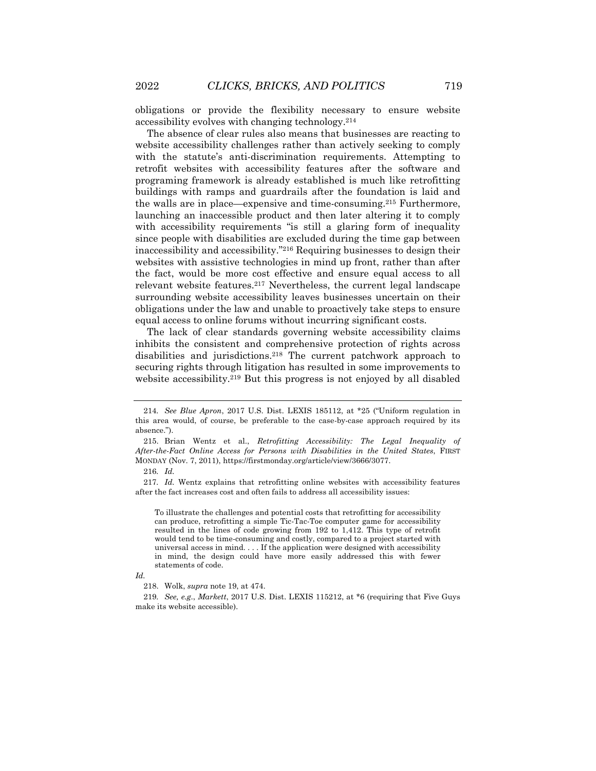obligations or provide the flexibility necessary to ensure website accessibility evolves with changing technology.<sup>214</sup>

The absence of clear rules also means that businesses are reacting to website accessibility challenges rather than actively seeking to comply with the statute's anti-discrimination requirements. Attempting to retrofit websites with accessibility features after the software and programing framework is already established is much like retrofitting buildings with ramps and guardrails after the foundation is laid and the walls are in place—expensive and time-consuming.<sup>215</sup> Furthermore, launching an inaccessible product and then later altering it to comply with accessibility requirements "is still a glaring form of inequality since people with disabilities are excluded during the time gap between inaccessibility and accessibility."<sup>216</sup> Requiring businesses to design their websites with assistive technologies in mind up front, rather than after the fact, would be more cost effective and ensure equal access to all relevant website features.<sup>217</sup> Nevertheless, the current legal landscape surrounding website accessibility leaves businesses uncertain on their obligations under the law and unable to proactively take steps to ensure equal access to online forums without incurring significant costs.

The lack of clear standards governing website accessibility claims inhibits the consistent and comprehensive protection of rights across disabilities and jurisdictions.<sup>218</sup> The current patchwork approach to securing rights through litigation has resulted in some improvements to website accessibility.<sup>219</sup> But this progress is not enjoyed by all disabled

216*. Id.*

217*. Id.* Wentz explains that retrofitting online websites with accessibility features after the fact increases cost and often fails to address all accessibility issues:

To illustrate the challenges and potential costs that retrofitting for accessibility can produce, retrofitting a simple Tic-Tac-Toe computer game for accessibility resulted in the lines of code growing from 192 to 1,412. This type of retrofit would tend to be time-consuming and costly, compared to a project started with universal access in mind. . . . If the application were designed with accessibility in mind, the design could have more easily addressed this with fewer statements of code.

219*. See, e.g*., *Markett*, 2017 U.S. Dist. LEXIS 115212, at \*6 (requiring that Five Guys make its website accessible).

<sup>214</sup>*. See Blue Apron*, 2017 U.S. Dist. LEXIS 185112, at \*25 ("Uniform regulation in this area would, of course, be preferable to the case-by-case approach required by its absence.").

<sup>215.</sup> Brian Wentz et al., *Retrofitting Accessibility: The Legal Inequality of After-the-Fact Online Access for Persons with Disabilities in the United States*, FIRST MONDAY (Nov. 7, 2011), https://firstmonday.org/article/view/3666/3077.

*Id.*

<sup>218.</sup> Wolk, *supra* note 19, at 474.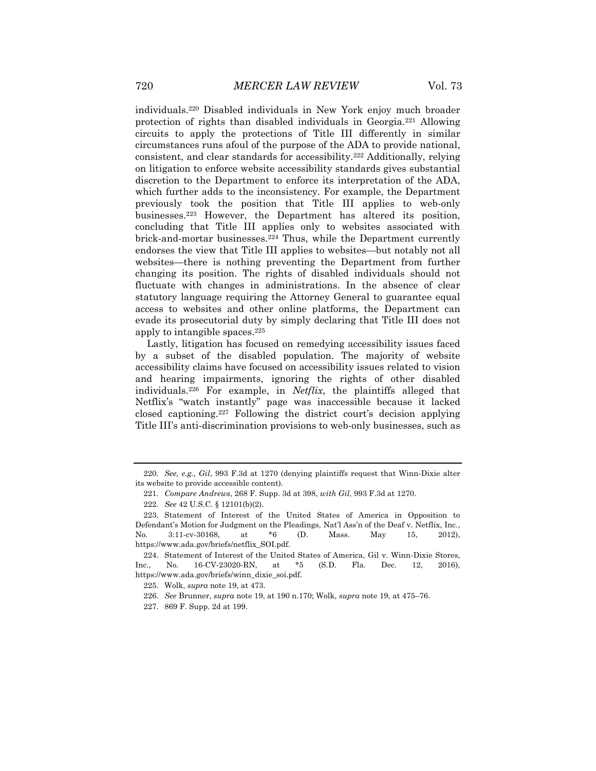individuals.<sup>220</sup> Disabled individuals in New York enjoy much broader protection of rights than disabled individuals in Georgia.<sup>221</sup> Allowing circuits to apply the protections of Title III differently in similar circumstances runs afoul of the purpose of the ADA to provide national, consistent, and clear standards for accessibility.<sup>222</sup> Additionally, relying on litigation to enforce website accessibility standards gives substantial discretion to the Department to enforce its interpretation of the ADA, which further adds to the inconsistency. For example, the Department previously took the position that Title III applies to web-only businesses.<sup>223</sup> However, the Department has altered its position, concluding that Title III applies only to websites associated with brick-and-mortar businesses.<sup>224</sup> Thus, while the Department currently endorses the view that Title III applies to websites—but notably not all websites—there is nothing preventing the Department from further changing its position. The rights of disabled individuals should not fluctuate with changes in administrations. In the absence of clear statutory language requiring the Attorney General to guarantee equal access to websites and other online platforms, the Department can evade its prosecutorial duty by simply declaring that Title III does not apply to intangible spaces.<sup>225</sup>

Lastly, litigation has focused on remedying accessibility issues faced by a subset of the disabled population. The majority of website accessibility claims have focused on accessibility issues related to vision and hearing impairments, ignoring the rights of other disabled individuals.<sup>226</sup> For example, in *Netflix*, the plaintiffs alleged that Netflix's "watch instantly" page was inaccessible because it lacked closed captioning.<sup>227</sup> Following the district court's decision applying Title III's anti-discrimination provisions to web-only businesses, such as

<sup>220</sup>*. See, e.g., Gil*, 993 F.3d at 1270 (denying plaintiffs request that Winn-Dixie alter its website to provide accessible content).

<sup>221</sup>*. Compare Andrews*, 268 F. Supp. 3d at 398, *with Gil*, 993 F.3d at 1270.

<sup>222</sup>*. See* 42 U.S.C. § 12101(b)(2).

<sup>223.</sup> Statement of Interest of the United States of America in Opposition to Defendant's Motion for Judgment on the Pleadings, Nat'l Ass'n of the Deaf v. Netflix, Inc., No. 3:11-cv-30168, at \*6 (D. Mass. May 15, 2012), https://www.ada.gov/briefs/netflix\_SOI.pdf.

<sup>224.</sup> Statement of Interest of the United States of America, Gil v. Winn-Dixie Stores, Inc., No. 16-CV-23020-RN, at \*5 (S.D. Fla. Dec. 12, 2016), https://www.ada.gov/briefs/winn\_dixie\_soi.pdf.

<sup>225.</sup> Wolk, *supra* note 19, at 473.

<sup>226</sup>*. See* Brunner, *supra* note 19, at 190 n.170; Wolk, *supra* note 19, at 475–76.

<sup>227.</sup> 869 F. Supp. 2d at 199.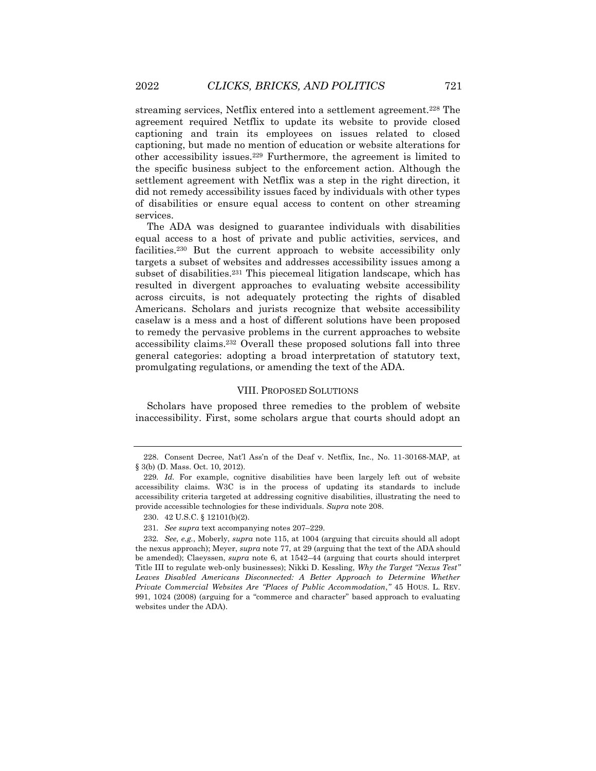streaming services, Netflix entered into a settlement agreement.<sup>228</sup> The agreement required Netflix to update its website to provide closed captioning and train its employees on issues related to closed captioning, but made no mention of education or website alterations for other accessibility issues.<sup>229</sup> Furthermore, the agreement is limited to the specific business subject to the enforcement action. Although the settlement agreement with Netflix was a step in the right direction, it did not remedy accessibility issues faced by individuals with other types of disabilities or ensure equal access to content on other streaming services.

The ADA was designed to guarantee individuals with disabilities equal access to a host of private and public activities, services, and facilities.<sup>230</sup> But the current approach to website accessibility only targets a subset of websites and addresses accessibility issues among a subset of disabilities.<sup>231</sup> This piecemeal litigation landscape, which has resulted in divergent approaches to evaluating website accessibility across circuits, is not adequately protecting the rights of disabled Americans. Scholars and jurists recognize that website accessibility caselaw is a mess and a host of different solutions have been proposed to remedy the pervasive problems in the current approaches to website accessibility claims.<sup>232</sup> Overall these proposed solutions fall into three general categories: adopting a broad interpretation of statutory text, promulgating regulations, or amending the text of the ADA.

#### VIII. PROPOSED SOLUTIONS

Scholars have proposed three remedies to the problem of website inaccessibility. First, some scholars argue that courts should adopt an

<sup>228.</sup> Consent Decree, Nat'l Ass'n of the Deaf v. Netflix, Inc., No. 11-30168-MAP, at § 3(b) (D. Mass. Oct. 10, 2012).

<sup>229</sup>*. Id.* For example, cognitive disabilities have been largely left out of website accessibility claims. W3C is in the process of updating its standards to include accessibility criteria targeted at addressing cognitive disabilities, illustrating the need to provide accessible technologies for these individuals. *Supra* note 208.

<sup>230.</sup> 42 U.S.C. § 12101(b)(2).

<sup>231</sup>*. See supra* text accompanying notes 207–229.

<sup>232</sup>*. See, e.g.*, Moberly, *supra* note 115, at 1004 (arguing that circuits should all adopt the nexus approach); Meyer, *supra* note 77, at 29 (arguing that the text of the ADA should be amended); Claeyssen, *supra* note 6, at 1542–44 (arguing that courts should interpret Title III to regulate web-only businesses); Nikki D. Kessling, *Why the Target "Nexus Test"*  Leaves Disabled Americans Disconnected: A Better Approach to Determine Whether *Private Commercial Websites Are "Places of Public Accommodation*,*"* 45 HOUS. L. REV. 991, 1024 (2008) (arguing for a "commerce and character" based approach to evaluating websites under the ADA).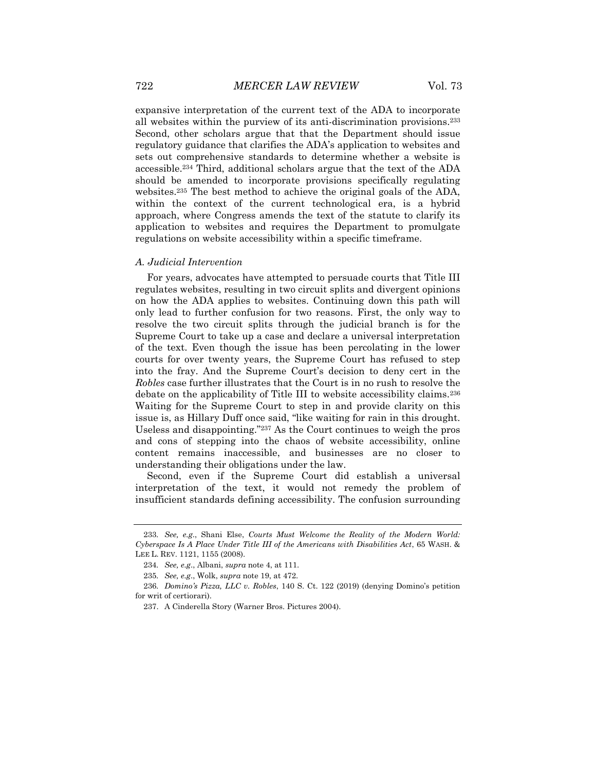expansive interpretation of the current text of the ADA to incorporate all websites within the purview of its anti-discrimination provisions.<sup>233</sup> Second, other scholars argue that that the Department should issue regulatory guidance that clarifies the ADA's application to websites and sets out comprehensive standards to determine whether a website is accessible.<sup>234</sup> Third, additional scholars argue that the text of the ADA should be amended to incorporate provisions specifically regulating websites.<sup>235</sup> The best method to achieve the original goals of the ADA, within the context of the current technological era, is a hybrid approach, where Congress amends the text of the statute to clarify its application to websites and requires the Department to promulgate regulations on website accessibility within a specific timeframe.

#### *A. Judicial Intervention*

For years, advocates have attempted to persuade courts that Title III regulates websites, resulting in two circuit splits and divergent opinions on how the ADA applies to websites. Continuing down this path will only lead to further confusion for two reasons. First, the only way to resolve the two circuit splits through the judicial branch is for the Supreme Court to take up a case and declare a universal interpretation of the text. Even though the issue has been percolating in the lower courts for over twenty years, the Supreme Court has refused to step into the fray. And the Supreme Court's decision to deny cert in the *Robles* case further illustrates that the Court is in no rush to resolve the debate on the applicability of Title III to website accessibility claims.<sup>236</sup> Waiting for the Supreme Court to step in and provide clarity on this issue is, as Hillary Duff once said, "like waiting for rain in this drought. Useless and disappointing."<sup>237</sup> As the Court continues to weigh the pros and cons of stepping into the chaos of website accessibility, online content remains inaccessible, and businesses are no closer to understanding their obligations under the law.

Second, even if the Supreme Court did establish a universal interpretation of the text, it would not remedy the problem of insufficient standards defining accessibility. The confusion surrounding

<sup>233</sup>*. See, e.g*., Shani Else, *Courts Must Welcome the Reality of the Modern World: Cyberspace Is A Place Under Title III of the Americans with Disabilities Act*, 65 WASH. & LEE L. REV. 1121, 1155 (2008).

<sup>234</sup>*. See, e.g*., Albani, *supra* note 4, at 111.

<sup>235</sup>*. See, e.g*., Wolk, *supra* note 19, at 472.

<sup>236</sup>*. Domino's Pizza, LLC v. Robles*, 140 S. Ct. 122 (2019) (denying Domino's petition for writ of certiorari).

<sup>237.</sup> A Cinderella Story (Warner Bros. Pictures 2004).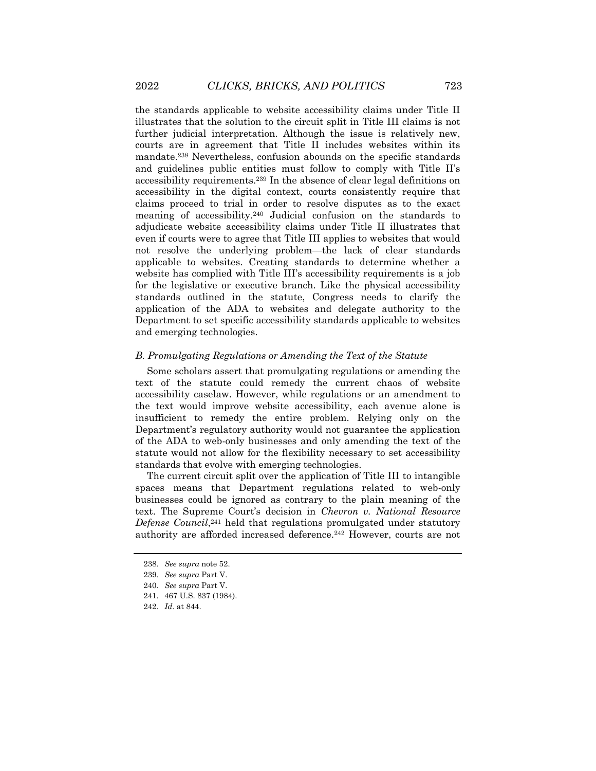the standards applicable to website accessibility claims under Title II illustrates that the solution to the circuit split in Title III claims is not further judicial interpretation. Although the issue is relatively new, courts are in agreement that Title II includes websites within its mandate.<sup>238</sup> Nevertheless, confusion abounds on the specific standards and guidelines public entities must follow to comply with Title II's accessibility requirements.<sup>239</sup> In the absence of clear legal definitions on accessibility in the digital context, courts consistently require that claims proceed to trial in order to resolve disputes as to the exact meaning of accessibility.<sup>240</sup> Judicial confusion on the standards to adjudicate website accessibility claims under Title II illustrates that even if courts were to agree that Title III applies to websites that would not resolve the underlying problem—the lack of clear standards applicable to websites. Creating standards to determine whether a website has complied with Title III's accessibility requirements is a job for the legislative or executive branch. Like the physical accessibility standards outlined in the statute, Congress needs to clarify the application of the ADA to websites and delegate authority to the Department to set specific accessibility standards applicable to websites and emerging technologies.

#### *B. Promulgating Regulations or Amending the Text of the Statute*

Some scholars assert that promulgating regulations or amending the text of the statute could remedy the current chaos of website accessibility caselaw. However, while regulations or an amendment to the text would improve website accessibility, each avenue alone is insufficient to remedy the entire problem. Relying only on the Department's regulatory authority would not guarantee the application of the ADA to web-only businesses and only amending the text of the statute would not allow for the flexibility necessary to set accessibility standards that evolve with emerging technologies.

The current circuit split over the application of Title III to intangible spaces means that Department regulations related to web-only businesses could be ignored as contrary to the plain meaning of the text. The Supreme Court's decision in *Chevron v. National Resource Defense Council*, <sup>241</sup> held that regulations promulgated under statutory authority are afforded increased deference.<sup>242</sup> However, courts are not

<sup>238</sup>*. See supra* note 52.

<sup>239</sup>*. See supra* Part V.

<sup>240</sup>*. See supra* Part V.

<sup>241.</sup> 467 U.S. 837 (1984).

<sup>242</sup>*. Id.* at 844.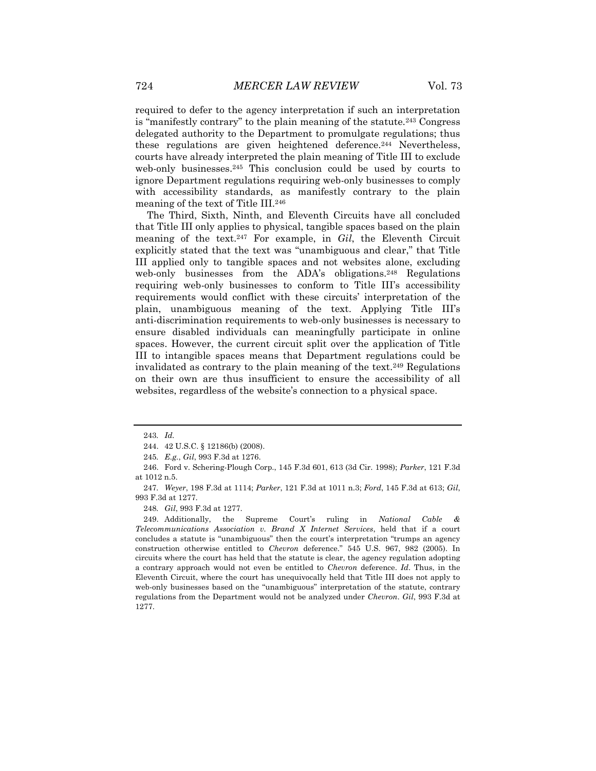required to defer to the agency interpretation if such an interpretation is "manifestly contrary" to the plain meaning of the statute.<sup>243</sup> Congress delegated authority to the Department to promulgate regulations; thus these regulations are given heightened deference.<sup>244</sup> Nevertheless, courts have already interpreted the plain meaning of Title III to exclude web-only businesses.<sup>245</sup> This conclusion could be used by courts to ignore Department regulations requiring web-only businesses to comply with accessibility standards, as manifestly contrary to the plain meaning of the text of Title III.<sup>246</sup>

The Third, Sixth, Ninth, and Eleventh Circuits have all concluded that Title III only applies to physical, tangible spaces based on the plain meaning of the text.<sup>247</sup> For example, in *Gil*, the Eleventh Circuit explicitly stated that the text was "unambiguous and clear," that Title III applied only to tangible spaces and not websites alone, excluding web-only businesses from the ADA's obligations.<sup>248</sup> Regulations requiring web-only businesses to conform to Title III's accessibility requirements would conflict with these circuits' interpretation of the plain, unambiguous meaning of the text. Applying Title III's anti-discrimination requirements to web-only businesses is necessary to ensure disabled individuals can meaningfully participate in online spaces. However, the current circuit split over the application of Title III to intangible spaces means that Department regulations could be invalidated as contrary to the plain meaning of the text.<sup>249</sup> Regulations on their own are thus insufficient to ensure the accessibility of all websites, regardless of the website's connection to a physical space.

248*. Gil*, 993 F.3d at 1277.

249. Additionally, the Supreme Court's ruling in *National Cable & Telecommunications Association v. Brand X Internet Services*, held that if a court concludes a statute is "unambiguous" then the court's interpretation "trumps an agency construction otherwise entitled to *Chevron* deference." 545 U.S. 967, 982 (2005). In circuits where the court has held that the statute is clear, the agency regulation adopting a contrary approach would not even be entitled to *Chevron* deference. *Id*. Thus, in the Eleventh Circuit, where the court has unequivocally held that Title III does not apply to web-only businesses based on the "unambiguous" interpretation of the statute, contrary regulations from the Department would not be analyzed under *Chevron*. *Gil*, 993 F.3d at 1277.

<sup>243</sup>*. Id.*

<sup>244.</sup> 42 U.S.C. § 12186(b) (2008).

<sup>245</sup>*. E.g.*, *Gil*, 993 F.3d at 1276.

<sup>246.</sup> Ford v. Schering-Plough Corp., 145 F.3d 601, 613 (3d Cir. 1998); *Parker*, 121 F.3d at 1012 n.5.

<sup>247</sup>*. Weyer*, 198 F.3d at 1114; *Parker*, 121 F.3d at 1011 n.3; *Ford*, 145 F.3d at 613; *Gil*, 993 F.3d at 1277.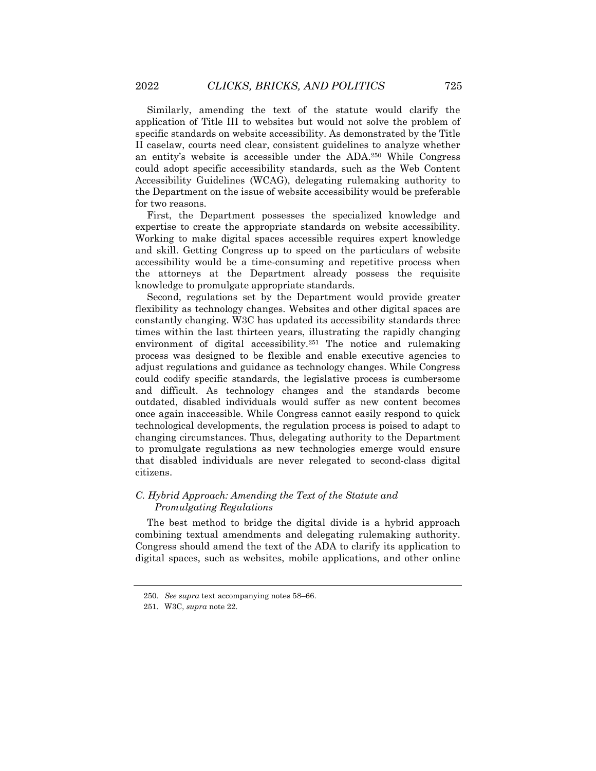Similarly, amending the text of the statute would clarify the application of Title III to websites but would not solve the problem of specific standards on website accessibility. As demonstrated by the Title II caselaw, courts need clear, consistent guidelines to analyze whether an entity's website is accessible under the ADA.<sup>250</sup> While Congress could adopt specific accessibility standards, such as the Web Content Accessibility Guidelines (WCAG), delegating rulemaking authority to the Department on the issue of website accessibility would be preferable for two reasons.

First, the Department possesses the specialized knowledge and expertise to create the appropriate standards on website accessibility. Working to make digital spaces accessible requires expert knowledge and skill. Getting Congress up to speed on the particulars of website accessibility would be a time-consuming and repetitive process when the attorneys at the Department already possess the requisite knowledge to promulgate appropriate standards.

Second, regulations set by the Department would provide greater flexibility as technology changes. Websites and other digital spaces are constantly changing. W3C has updated its accessibility standards three times within the last thirteen years, illustrating the rapidly changing environment of digital accessibility.<sup>251</sup> The notice and rulemaking process was designed to be flexible and enable executive agencies to adjust regulations and guidance as technology changes. While Congress could codify specific standards, the legislative process is cumbersome and difficult. As technology changes and the standards become outdated, disabled individuals would suffer as new content becomes once again inaccessible. While Congress cannot easily respond to quick technological developments, the regulation process is poised to adapt to changing circumstances. Thus, delegating authority to the Department to promulgate regulations as new technologies emerge would ensure that disabled individuals are never relegated to second-class digital citizens.

### *C. Hybrid Approach: Amending the Text of the Statute and Promulgating Regulations*

The best method to bridge the digital divide is a hybrid approach combining textual amendments and delegating rulemaking authority. Congress should amend the text of the ADA to clarify its application to digital spaces, such as websites, mobile applications, and other online

<sup>250</sup>*. See supra* text accompanying notes 58–66.

<sup>251.</sup> W3C, *supra* note 22.